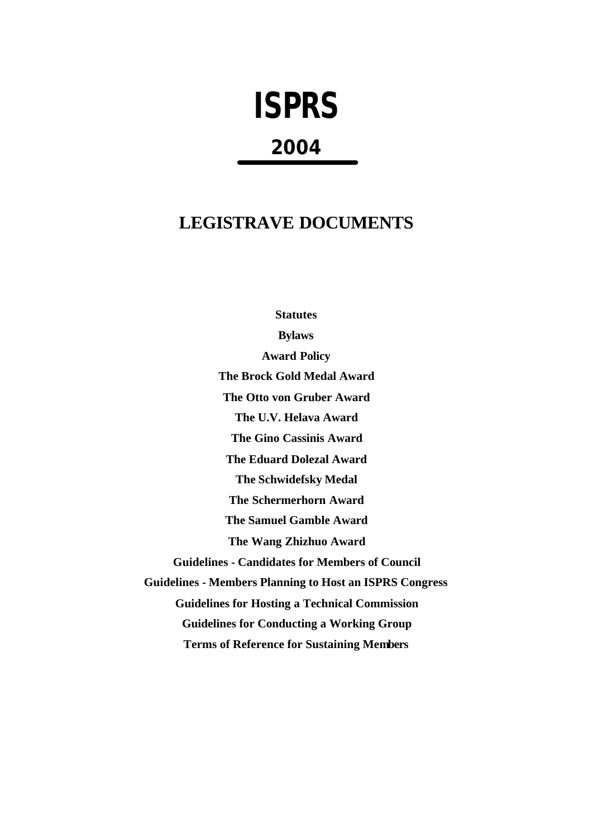# **ISPRS**

# **2004**

# **LEGISTRAVE DOCUMENTS**

**Statutes Bylaws Award Policy The Brock Gold Medal Award The Otto von Gruber Award The U.V. Helava Award The Gino Cassinis Award The Eduard Dolezal Award The Schwidefsky Medal The Schermerhorn Award The Samuel Gamble Award The Wang Zhizhuo Award Guidelines - Candidates for Members of Council Guidelines - Members Planning to Host an ISPRS Congress Guidelines for Hosting a Technical Commission Guidelines for Conducting a Working Group Terms of Reference for Sustaining Members**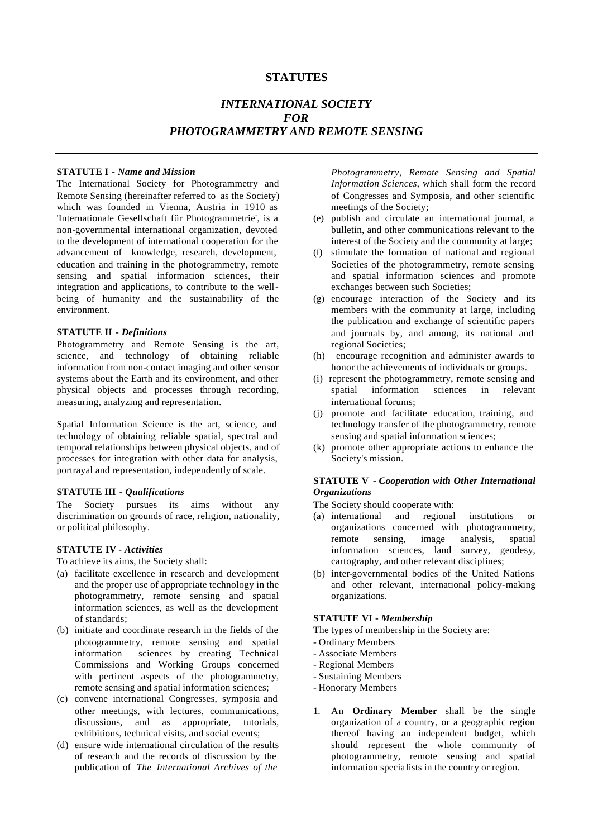# **STATUTES**

# *INTERNATIONAL SOCIETY FOR PHOTOGRAMMETRY AND REMOTE SENSING*

#### **STATUTE I -** *Name and Mission*

The International Society for Photogrammetry and Remote Sensing (hereinafter referred to as the Society) which was founded in Vienna, Austria in 1910 as 'Internationale Gesellschaft für Photogrammetrie', is a non-governmental international organization, devoted to the development of international cooperation for the advancement of knowledge, research, development, education and training in the photogrammetry, remote sensing and spatial information sciences, their integration and applications, to contribute to the wellbeing of humanity and the sustainability of the environment.

#### **STATUTE II -** *Definitions*

Photogrammetry and Remote Sensing is the art, science, and technology of obtaining reliable information from non-contact imaging and other sensor systems about the Earth and its environment, and other physical objects and processes through recording, measuring, analyzing and representation.

Spatial Information Science is the art, science, and technology of obtaining reliable spatial, spectral and temporal relationships between physical objects, and of processes for integration with other data for analysis, portrayal and representation, independently of scale.

#### **STATUTE III** *- Qualifications*

The Society pursues its aims without any discrimination on grounds of race, religion, nationality, or political philosophy.

#### **STATUTE IV -** *Activities*

To achieve its aims, the Society shall:

- (a) facilitate excellence in research and development and the proper use of appropriate technology in the photogrammetry, remote sensing and spatial information sciences, as well as the development of standards;
- (b) initiate and coordinate research in the fields of the photogrammetry, remote sensing and spatial information sciences by creating Technical Commissions and Working Groups concerned with pertinent aspects of the photogrammetry, remote sensing and spatial information sciences;
- (c) convene international Congresses, symposia and other meetings, with lectures, communications, discussions, and as appropriate, tutorials, exhibitions, technical visits, and social events;
- (d) ensure wide international circulation of the results of research and the records of discussion by the publication of *The International Archives of the*

*Photogrammetry, Remote Sensing and Spatial Information Sciences*, which shall form the record of Congresses and Symposia, and other scientific meetings of the Society;

- (e) publish and circulate an international journal, a bulletin, and other communications relevant to the interest of the Society and the community at large;
- (f) stimulate the formation of national and regional Societies of the photogrammetry, remote sensing and spatial information sciences and promote exchanges between such Societies;
- (g) encourage interaction of the Society and its members with the community at large, including the publication and exchange of scientific papers and journals by, and among, its national and regional Societies;
- (h) encourage recognition and administer awards to honor the achievements of individuals or groups.
- (i) represent the photogrammetry, remote sensing and spatial information sciences in relevant international forums;
- (j) promote and facilitate education, training, and technology transfer of the photogrammetry, remote sensing and spatial information sciences;
- (k) promote other appropriate actions to enhance the Society's mission.

#### **STATUTE V** *- Cooperation with Other International Organizations*

- The Society should cooperate with:
- (a) international and regional institutions or organizations concerned with photogrammetry, remote sensing, image analysis, spatial information sciences, land survey, geodesy, cartography, and other relevant disciplines;
- (b) inter-governmental bodies of the United Nations and other relevant, international policy-making organizations.

#### **STATUTE VI -** *Membership*

- The types of membership in the Society are:
- Ordinary Members
- Associate Members
- Regional Members
- Sustaining Members
- Honorary Members
- 1. An **Ordinary Member** shall be the single organization of a country, or a geographic region thereof having an independent budget, which should represent the whole community of photogrammetry, remote sensing and spatial information specialists in the country or region.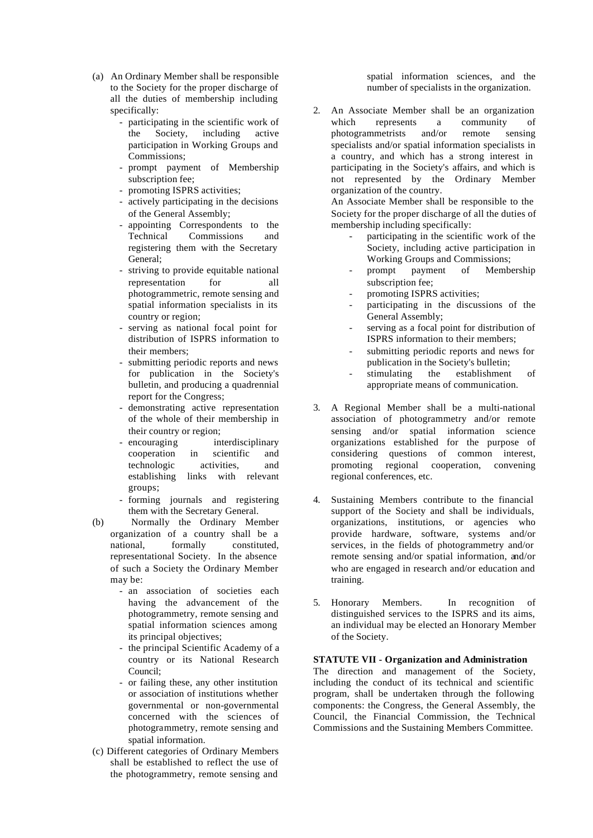- (a) An Ordinary Member shall be responsible to the Society for the proper discharge of all the duties of membership including specifically:
	- participating in the scientific work of the Society, including active participation in Working Groups and Commissions;
	- prompt payment of Membership subscription fee;
	- promoting ISPRS activities;
	- actively participating in the decisions of the General Assembly;
	- appointing Correspondents to the Technical Commissions and registering them with the Secretary General;
	- striving to provide equitable national representation for all photogrammetric, remote sensing and spatial information specialists in its country or region;
	- serving as national focal point for distribution of ISPRS information to their members;
	- submitting periodic reports and news for publication in the Society's bulletin, and producing a quadrennial report for the Congress;
	- demonstrating active representation of the whole of their membership in their country or region;
	- encouraging interdisciplinary cooperation in scientific and technologic activities, and establishing links with relevant groups;
	- forming journals and registering them with the Secretary General.
- (b) Normally the Ordinary Member organization of a country shall be a national, formally constituted, representational Society. In the absence of such a Society the Ordinary Member may be:
	- an association of societies each having the advancement of the photogrammetry, remote sensing and spatial information sciences among its principal objectives;
	- the principal Scientific Academy of a country or its National Research Council;
	- or failing these, any other institution or association of institutions whether governmental or non-governmental concerned with the sciences of photogrammetry, remote sensing and spatial information.
- (c) Different categories of Ordinary Members shall be established to reflect the use of the photogrammetry, remote sensing and

spatial information sciences, and the number of specialists in the organization.

2. An Associate Member shall be an organization which represents a community of photogrammetrists and/or remote sensing specialists and/or spatial information specialists in a country, and which has a strong interest in participating in the Society's affairs, and which is not represented by the Ordinary Member organization of the country.

An Associate Member shall be responsible to the Society for the proper discharge of all the duties of membership including specifically:

- participating in the scientific work of the Society, including active participation in Working Groups and Commissions;
- prompt payment of Membership subscription fee;
- promoting ISPRS activities;
- participating in the discussions of the General Assembly;
- serving as a focal point for distribution of ISPRS information to their members;
- submitting periodic reports and news for publication in the Society's bulletin;
- stimulating the establishment of appropriate means of communication.
- 3. A Regional Member shall be a multi-national association of photogrammetry and/or remote sensing and/or spatial information science organizations established for the purpose of considering questions of common interest, promoting regional cooperation, convening regional conferences, etc.
- 4. Sustaining Members contribute to the financial support of the Society and shall be individuals, organizations, institutions, or agencies who provide hardware, software, systems and/or services, in the fields of photogrammetry and/or remote sensing and/or spatial information, and/or who are engaged in research and/or education and training.
- 5. Honorary Members. In recognition of distinguished services to the ISPRS and its aims, an individual may be elected an Honorary Member of the Society.

#### **STATUTE VII - Organization and Administration**

The direction and management of the Society, including the conduct of its technical and scientific program, shall be undertaken through the following components: the Congress, the General Assembly, the Council, the Financial Commission, the Technical Commissions and the Sustaining Members Committee.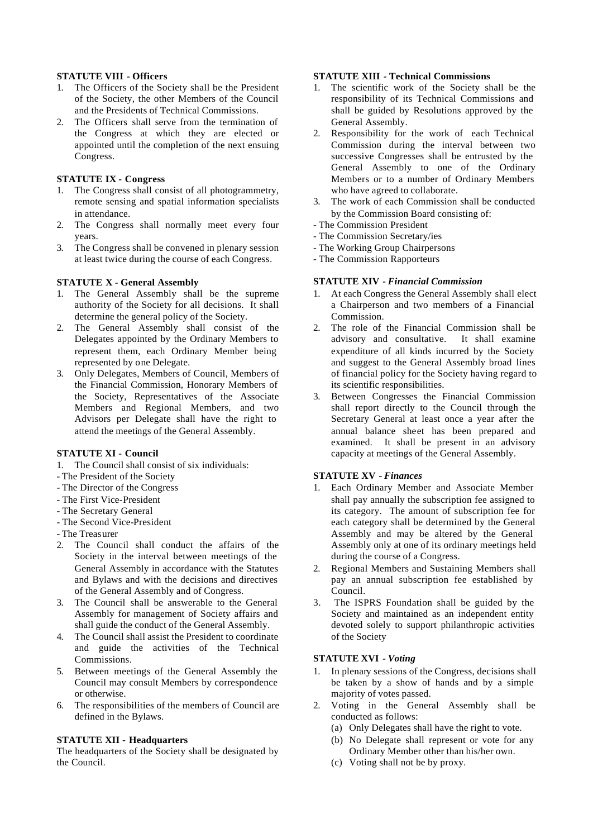#### **STATUTE VIII - Officers**

- 1. The Officers of the Society shall be the President of the Society, the other Members of the Council and the Presidents of Technical Commissions.
- 2. The Officers shall serve from the termination of the Congress at which they are elected or appointed until the completion of the next ensuing Congress.

#### **STATUTE IX - Congress**

- 1. The Congress shall consist of all photogrammetry, remote sensing and spatial information specialists in attendance.
- 2. The Congress shall normally meet every four years.
- 3. The Congress shall be convened in plenary session at least twice during the course of each Congress.

#### **STATUTE X - General Assembly**

- 1. The General Assembly shall be the supreme authority of the Society for all decisions. It shall determine the general policy of the Society.
- 2. The General Assembly shall consist of the Delegates appointed by the Ordinary Members to represent them, each Ordinary Member being represented by one Delegate.
- 3. Only Delegates, Members of Council, Members of the Financial Commission, Honorary Members of the Society, Representatives of the Associate Members and Regional Members, and two Advisors per Delegate shall have the right to attend the meetings of the General Assembly.

#### **STATUTE XI - Council**

- 1. The Council shall consist of six individuals:
- The President of the Society
- The Director of the Congress
- The First Vice-President
- The Secretary General
- The Second Vice-President
- The Treasurer
- 2. The Council shall conduct the affairs of the Society in the interval between meetings of the General Assembly in accordance with the Statutes and Bylaws and with the decisions and directives of the General Assembly and of Congress.
- 3. The Council shall be answerable to the General Assembly for management of Society affairs and shall guide the conduct of the General Assembly.
- 4. The Council shall assist the President to coordinate and guide the activities of the Technical Commissions.
- 5. Between meetings of the General Assembly the Council may consult Members by correspondence or otherwise.
- 6. The responsibilities of the members of Council are defined in the Bylaws.

#### **STATUTE XII - Headquarters**

The headquarters of the Society shall be designated by the Council.

# **STATUTE XIII - Technical Commissions**

- 1. The scientific work of the Society shall be the responsibility of its Technical Commissions and shall be guided by Resolutions approved by the General Assembly.
- 2. Responsibility for the work of each Technical Commission during the interval between two successive Congresses shall be entrusted by the General Assembly to one of the Ordinary Members or to a number of Ordinary Members who have agreed to collaborate.
- 3. The work of each Commission shall be conducted by the Commission Board consisting of:
- The Commission President
- The Commission Secretary/ies
- The Working Group Chairpersons
- The Commission Rapporteurs

# **STATUTE XIV** *- Financial Commission*

- 1. At each Congress the General Assembly shall elect a Chairperson and two members of a Financial Commission.
- 2. The role of the Financial Commission shall be advisory and consultative. It shall examine expenditure of all kinds incurred by the Society and suggest to the General Assembly broad lines of financial policy for the Society having regard to its scientific responsibilities.
- 3. Between Congresses the Financial Commission shall report directly to the Council through the Secretary General at least once a year after the annual balance sheet has been prepared and examined. It shall be present in an advisory capacity at meetings of the General Assembly.

# **STATUTE XV** *- Finances*

- 1. Each Ordinary Member and Associate Member shall pay annually the subscription fee assigned to its category. The amount of subscription fee for each category shall be determined by the General Assembly and may be altered by the General Assembly only at one of its ordinary meetings held during the course of a Congress.
- 2. Regional Members and Sustaining Members shall pay an annual subscription fee established by Council.
- 3. The ISPRS Foundation shall be guided by the Society and maintained as an independent entity devoted solely to support philanthropic activities of the Society

# **STATUTE XVI** *- Voting*

- 1. In plenary sessions of the Congress, decisions shall be taken by a show of hands and by a simple majority of votes passed.
- 2. Voting in the General Assembly shall be conducted as follows:
	- (a) Only Delegates shall have the right to vote.
	- (b) No Delegate shall represent or vote for any Ordinary Member other than his/her own.
	- (c) Voting shall not be by proxy.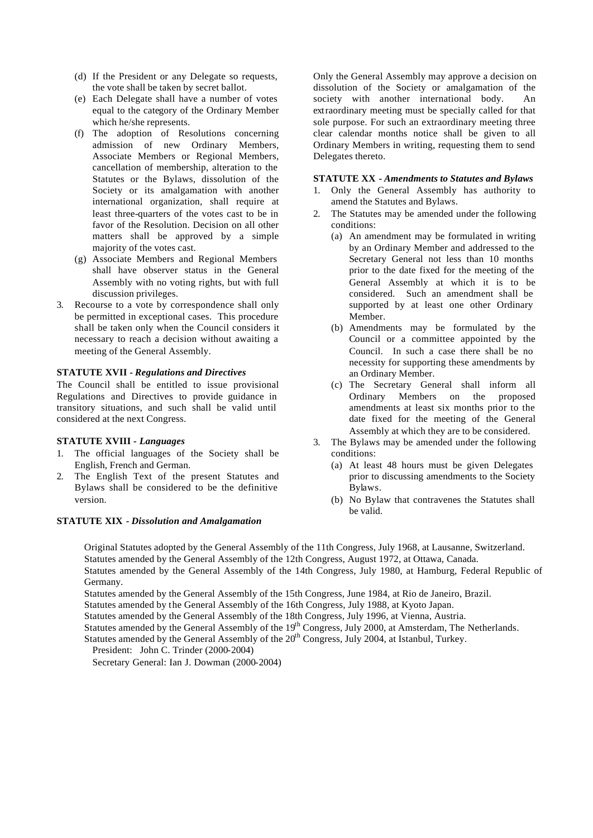- (d) If the President or any Delegate so requests, the vote shall be taken by secret ballot.
- (e) Each Delegate shall have a number of votes equal to the category of the Ordinary Member which he/she represents.
- (f) The adoption of Resolutions concerning admission of new Ordinary Members, Associate Members or Regional Members, cancellation of membership, alteration to the Statutes or the Bylaws, dissolution of the Society or its amalgamation with another international organization, shall require at least three-quarters of the votes cast to be in favor of the Resolution. Decision on all other matters shall be approved by a simple majority of the votes cast.
- (g) Associate Members and Regional Members shall have observer status in the General Assembly with no voting rights, but with full discussion privileges.
- 3. Recourse to a vote by correspondence shall only be permitted in exceptional cases. This procedure shall be taken only when the Council considers it necessary to reach a decision without awaiting a meeting of the General Assembly.

#### **STATUTE XVII** *- Regulations and Directives*

The Council shall be entitled to issue provisional Regulations and Directives to provide guidance in transitory situations, and such shall be valid until considered at the next Congress.

#### **STATUTE XVIII** *- Languages*

- 1. The official languages of the Society shall be English, French and German.
- 2. The English Text of the present Statutes and Bylaws shall be considered to be the definitive version.

#### **STATUTE XIX** *- Dissolution and Amalgamation*

Only the General Assembly may approve a decision on dissolution of the Society or amalgamation of the society with another international body. An extraordinary meeting must be specially called for that sole purpose. For such an extraordinary meeting three clear calendar months notice shall be given to all Ordinary Members in writing, requesting them to send Delegates thereto.

## **STATUTE XX** *- Amendments to Statutes and Bylaws*

- 1. Only the General Assembly has authority to amend the Statutes and Bylaws.
- 2. The Statutes may be amended under the following conditions:
	- (a) An amendment may be formulated in writing by an Ordinary Member and addressed to the Secretary General not less than 10 months prior to the date fixed for the meeting of the General Assembly at which it is to be considered. Such an amendment shall be supported by at least one other Ordinary Member.
	- (b) Amendments may be formulated by the Council or a committee appointed by the Council. In such a case there shall be no necessity for supporting these amendments by an Ordinary Member.
	- (c) The Secretary General shall inform all Ordinary Members on the proposed amendments at least six months prior to the date fixed for the meeting of the General Assembly at which they are to be considered.
- 3. The Bylaws may be amended under the following conditions:
	- (a) At least 48 hours must be given Delegates prior to discussing amendments to the Society Bylaws.
	- (b) No Bylaw that contravenes the Statutes shall be valid.

Original Statutes adopted by the General Assembly of the 11th Congress, July 1968, at Lausanne, Switzerland. Statutes amended by the General Assembly of the 12th Congress, August 1972, at Ottawa, Canada. Statutes amended by the General Assembly of the 14th Congress, July 1980, at Hamburg, Federal Republic of Germany.

Statutes amended by the General Assembly of the 15th Congress, June 1984, at Rio de Janeiro, Brazil. Statutes amended by the General Assembly of the 16th Congress, July 1988, at Kyoto Japan.

Statutes amended by the General Assembly of the 18th Congress, July 1996, at Vienna, Austria.

Statutes amended by the General Assembly of the 19<sup>th</sup> Congress, July 2000, at Amsterdam, The Netherlands.

Statutes amended by the General Assembly of the 20<sup>th</sup> Congress, July 2004, at Istanbul, Turkey.

President: John C. Trinder (2000-2004)

Secretary General: Ian J. Dowman (2000-2004)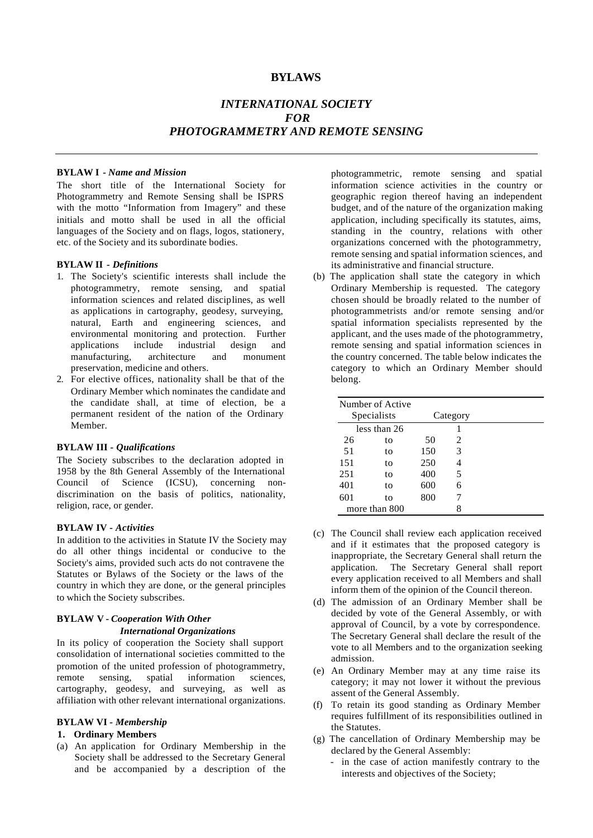## **BYLAWS**

# *INTERNATIONAL SOCIETY FOR PHOTOGRAMMETRY AND REMOTE SENSING*

#### **BYLAW I** *- Name and Mission*

The short title of the International Society for Photogrammetry and Remote Sensing shall be ISPRS with the motto "Information from Imagery" and these initials and motto shall be used in all the official languages of the Society and on flags, logos, stationery, etc. of the Society and its subordinate bodies.

#### **BYLAW II** *- Definitions*

- 1. The Society's scientific interests shall include the photogrammetry, remote sensing, and spatial information sciences and related disciplines, as well as applications in cartography, geodesy, surveying, natural, Earth and engineering sciences, and environmental monitoring and protection. Further applications include industrial design and manufacturing, architecture and monument preservation, medicine and others.
- 2. For elective offices, nationality shall be that of the Ordinary Member which nominates the candidate and the candidate shall, at time of election, be a permanent resident of the nation of the Ordinary Member.

#### **BYLAW III** *- Qualifications*

The Society subscribes to the declaration adopted in 1958 by the 8th General Assembly of the International Council of Science (ICSU), concerning nondiscrimination on the basis of politics, nationality, religion, race, or gender.

#### **BYLAW IV** *- Activities*

In addition to the activities in Statute IV the Society may do all other things incidental or conducive to the Society's aims, provided such acts do not contravene the Statutes or Bylaws of the Society or the laws of the country in which they are done, or the general principles to which the Society subscribes.

# **BYLAW V** *- Cooperation With Other International Organizations*

In its policy of cooperation the Society shall support consolidation of international societies committed to the promotion of the united profession of photogrammetry,<br>remote sensing, spatial information sciences, remote sensing, spatial information sciences, cartography, geodesy, and surveying, as well as affiliation with other relevant international organizations.

#### **BYLAW VI** *- Membership*

#### **1. Ordinary Members**

(a) An application for Ordinary Membership in the Society shall be addressed to the Secretary General and be accompanied by a description of the

photogrammetric, remote sensing and spatial information science activities in the country or geographic region thereof having an independent budget, and of the nature of the organization making application, including specifically its statutes, aims, standing in the country, relations with other organizations concerned with the photogrammetry, remote sensing and spatial information sciences, and its administrative and financial structure.

(b) The application shall state the category in which Ordinary Membership is requested. The category chosen should be broadly related to the number of photogrammetrists and/or remote sensing and/or spatial information specialists represented by the applicant, and the uses made of the photogrammetry, remote sensing and spatial information sciences in the country concerned. The table below indicates the category to which an Ordinary Member should belong.

|               | Number of Active |          |   |  |
|---------------|------------------|----------|---|--|
| Specialists   |                  | Category |   |  |
| less than 26  |                  |          |   |  |
| 26            | to               | 50       | 2 |  |
| 51            | to               | 150      | 3 |  |
| 151           | to               | 250      | 4 |  |
| 251           | to               | 400      | 5 |  |
| 401           | to               | 600      | 6 |  |
| 601           | to               | 800      | 7 |  |
| more than 800 |                  |          | 8 |  |

- (c) The Council shall review each application received and if it estimates that the proposed category is inappropriate, the Secretary General shall return the application. The Secretary General shall report every application received to all Members and shall inform them of the opinion of the Council thereon.
- (d) The admission of an Ordinary Member shall be decided by vote of the General Assembly, or with approval of Council, by a vote by correspondence. The Secretary General shall declare the result of the vote to all Members and to the organization seeking admission.
- (e) An Ordinary Member may at any time raise its category; it may not lower it without the previous assent of the General Assembly.
- (f) To retain its good standing as Ordinary Member requires fulfillment of its responsibilities outlined in the Statutes.
- (g) The cancellation of Ordinary Membership may be declared by the General Assembly:
	- in the case of action manifestly contrary to the interests and objectives of the Society;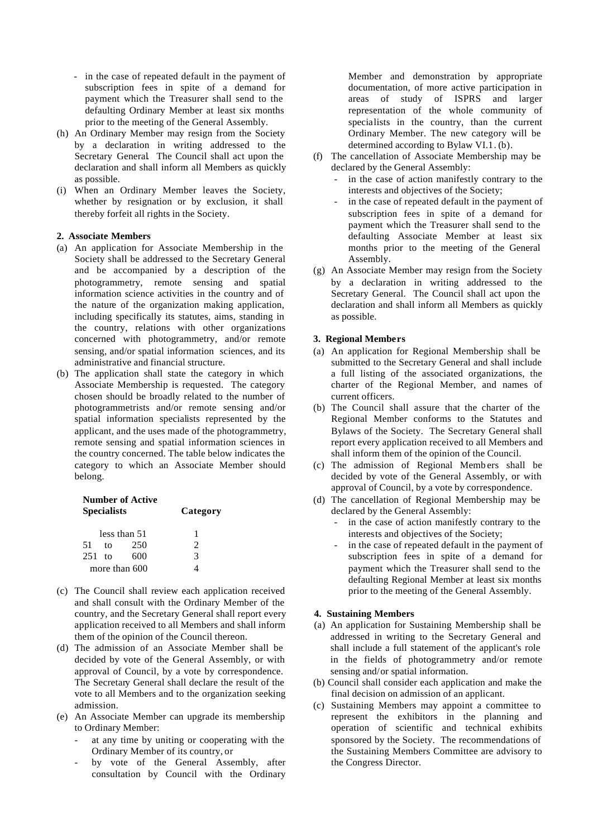- in the case of repeated default in the payment of subscription fees in spite of a demand for payment which the Treasurer shall send to the defaulting Ordinary Member at least six months prior to the meeting of the General Assembly.
- (h) An Ordinary Member may resign from the Society by a declaration in writing addressed to the Secretary General. The Council shall act upon the declaration and shall inform all Members as quickly as possible.
- (i) When an Ordinary Member leaves the Society, whether by resignation or by exclusion, it shall thereby forfeit all rights in the Society.

#### **2. Associate Members**

- (a) An application for Associate Membership in the Society shall be addressed to the Secretary General and be accompanied by a description of the photogrammetry, remote sensing and spatial information science activities in the country and of the nature of the organization making application, including specifically its statutes, aims, standing in the country, relations with other organizations concerned with photogrammetry, and/or remote sensing, and/or spatial information sciences, and its administrative and financial structure.
- (b) The application shall state the category in which Associate Membership is requested. The category chosen should be broadly related to the number of photogrammetrists and/or remote sensing and/or spatial information specialists represented by the applicant, and the uses made of the photogrammetry, remote sensing and spatial information sciences in the country concerned. The table below indicates the category to which an Associate Member should belong.

|          | <b>Number of Active</b><br><b>Specialists</b> | Category      |   |  |  |
|----------|-----------------------------------------------|---------------|---|--|--|
|          | less than 51                                  | 1             |   |  |  |
| -51      | tΩ                                            | 250           | 2 |  |  |
| $251$ to |                                               | 600           | 3 |  |  |
|          |                                               | more than 600 |   |  |  |

- (c) The Council shall review each application received and shall consult with the Ordinary Member of the country, and the Secretary General shall report every application received to all Members and shall inform them of the opinion of the Council thereon.
- (d) The admission of an Associate Member shall be decided by vote of the General Assembly, or with approval of Council, by a vote by correspondence. The Secretary General shall declare the result of the vote to all Members and to the organization seeking admission.
- (e) An Associate Member can upgrade its membership to Ordinary Member:
	- at any time by uniting or cooperating with the Ordinary Member of its country, or
	- by vote of the General Assembly, after consultation by Council with the Ordinary

Member and demonstration by appropriate documentation, of more active participation in areas of study of ISPRS and larger representation of the whole community of specialists in the country, than the current Ordinary Member. The new category will be determined according to Bylaw VI.1. (b).

- (f) The cancellation of Associate Membership may be declared by the General Assembly:
	- in the case of action manifestly contrary to the interests and objectives of the Society;
	- in the case of repeated default in the payment of subscription fees in spite of a demand for payment which the Treasurer shall send to the defaulting Associate Member at least six months prior to the meeting of the General Assembly.
- (g) An Associate Member may resign from the Society by a declaration in writing addressed to the Secretary General. The Council shall act upon the declaration and shall inform all Members as quickly as possible.

#### **3. Regional Members**

- (a) An application for Regional Membership shall be submitted to the Secretary General and shall include a full listing of the associated organizations, the charter of the Regional Member, and names of current officers.
- (b) The Council shall assure that the charter of the Regional Member conforms to the Statutes and Bylaws of the Society. The Secretary General shall report every application received to all Members and shall inform them of the opinion of the Council.
- (c) The admission of Regional Memb ers shall be decided by vote of the General Assembly, or with approval of Council, by a vote by correspondence.
- (d) The cancellation of Regional Membership may be declared by the General Assembly:
	- in the case of action manifestly contrary to the interests and objectives of the Society;
	- in the case of repeated default in the payment of subscription fees in spite of a demand for payment which the Treasurer shall send to the defaulting Regional Member at least six months prior to the meeting of the General Assembly.

#### **4. Sustaining Members**

- (a) An application for Sustaining Membership shall be addressed in writing to the Secretary General and shall include a full statement of the applicant's role in the fields of photogrammetry and/or remote sensing and/or spatial information.
- (b) Council shall consider each application and make the final decision on admission of an applicant.
- (c) Sustaining Members may appoint a committee to represent the exhibitors in the planning and operation of scientific and technical exhibits sponsored by the Society. The recommendations of the Sustaining Members Committee are advisory to the Congress Director.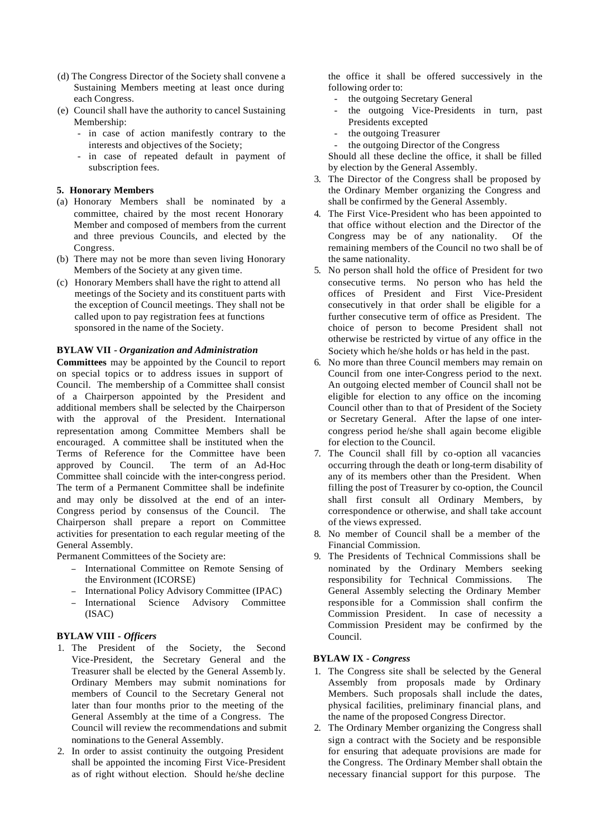- (d) The Congress Director of the Society shall convene a Sustaining Members meeting at least once during each Congress.
- (e) Council shall have the authority to cancel Sustaining Membership:
	- in case of action manifestly contrary to the interests and objectives of the Society;
	- in case of repeated default in payment of subscription fees.

#### **5. Honorary Members**

- (a) Honorary Members shall be nominated by a committee, chaired by the most recent Honorary Member and composed of members from the current and three previous Councils, and elected by the Congress.
- (b) There may not be more than seven living Honorary Members of the Society at any given time.
- (c) Honorary Members shall have the right to attend all meetings of the Society and its constituent parts with the exception of Council meetings. They shall not be called upon to pay registration fees at functions sponsored in the name of the Society.

#### **BYLAW VII** *- Organization and Administration*

**Committees** may be appointed by the Council to report on special topics or to address issues in support of Council. The membership of a Committee shall consist of a Chairperson appointed by the President and additional members shall be selected by the Chairperson with the approval of the President. International representation among Committee Members shall be encouraged. A committee shall be instituted when the Terms of Reference for the Committee have been approved by Council. The term of an Ad-Hoc Committee shall coincide with the inter-congress period. The term of a Permanent Committee shall be indefinite and may only be dissolved at the end of an inter-Congress period by consensus of the Council. The Chairperson shall prepare a report on Committee activities for presentation to each regular meeting of the General Assembly.

Permanent Committees of the Society are:

- <sup>−</sup> International Committee on Remote Sensing of the Environment (ICORSE)
- <sup>−</sup> International Policy Advisory Committee (IPAC)
- <sup>−</sup> International Science Advisory Committee (ISAC)

#### **BYLAW VIII** *- Officers*

- 1. The President of the Society, the Second Vice-President, the Secretary General and the Treasurer shall be elected by the General Assemb ly. Ordinary Members may submit nominations for members of Council to the Secretary General not later than four months prior to the meeting of the General Assembly at the time of a Congress. The Council will review the recommendations and submit nominations to the General Assembly.
- 2. In order to assist continuity the outgoing President shall be appointed the incoming First Vice-President as of right without election. Should he/she decline

the office it shall be offered successively in the following order to:

- the outgoing Secretary General
- the outgoing Vice-Presidents in turn, past Presidents excepted
- the outgoing Treasurer
- the outgoing Director of the Congress

Should all these decline the office, it shall be filled by election by the General Assembly.

- 3. The Director of the Congress shall be proposed by the Ordinary Member organizing the Congress and shall be confirmed by the General Assembly.
- 4. The First Vice-President who has been appointed to that office without election and the Director of the Congress may be of any nationality. Of the remaining members of the Council no two shall be of the same nationality.
- 5. No person shall hold the office of President for two consecutive terms. No person who has held the offices of President and First Vice-President consecutively in that order shall be eligible for a further consecutive term of office as President. The choice of person to become President shall not otherwise be restricted by virtue of any office in the Society which he/she holds or has held in the past.
- 6. No more than three Council members may remain on Council from one inter-Congress period to the next. An outgoing elected member of Council shall not be eligible for election to any office on the incoming Council other than to that of President of the Society or Secretary General. After the lapse of one intercongress period he/she shall again become eligible for election to the Council.
- 7. The Council shall fill by co-option all vacancies occurring through the death or long-term disability of any of its members other than the President. When filling the post of Treasurer by co-option, the Council shall first consult all Ordinary Members, by correspondence or otherwise, and shall take account of the views expressed.
- 8. No member of Council shall be a member of the Financial Commission.
- 9. The Presidents of Technical Commissions shall be nominated by the Ordinary Members seeking responsibility for Technical Commissions. The General Assembly selecting the Ordinary Member responsible for a Commission shall confirm the Commission President. In case of necessity a Commission President may be confirmed by the Council.

#### **BYLAW IX** *- Congress*

- 1. The Congress site shall be selected by the General Assembly from proposals made by Ordinary Members. Such proposals shall include the dates, physical facilities, preliminary financial plans, and the name of the proposed Congress Director.
- 2. The Ordinary Member organizing the Congress shall sign a contract with the Society and be responsible for ensuring that adequate provisions are made for the Congress. The Ordinary Member shall obtain the necessary financial support for this purpose. The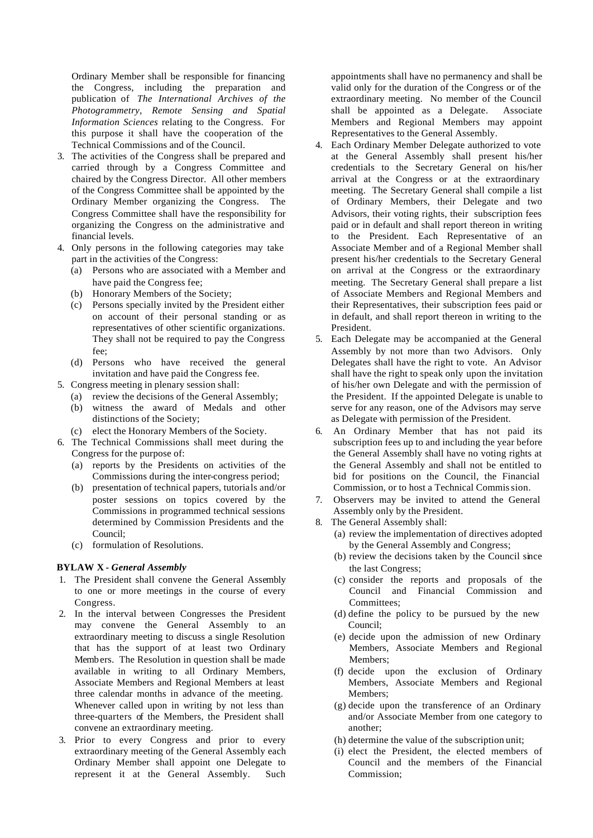Ordinary Member shall be responsible for financing the Congress, including the preparation and publication of *The International Archives of the Photogrammetry, Remote Sensing and Spatial Information Sciences* relating to the Congress. For this purpose it shall have the cooperation of the Technical Commissions and of the Council.

- 3. The activities of the Congress shall be prepared and carried through by a Congress Committee and chaired by the Congress Director. All other members of the Congress Committee shall be appointed by the Ordinary Member organizing the Congress. The Congress Committee shall have the responsibility for organizing the Congress on the administrative and financial levels.
- 4. Only persons in the following categories may take part in the activities of the Congress:
	- (a) Persons who are associated with a Member and have paid the Congress fee;
	- (b) Honorary Members of the Society;
	- (c) Persons specially invited by the President either on account of their personal standing or as representatives of other scientific organizations. They shall not be required to pay the Congress fee;
	- (d) Persons who have received the general invitation and have paid the Congress fee.
- 5. Congress meeting in plenary session shall:
	- (a) review the decisions of the General Assembly;
	- (b) witness the award of Medals and other distinctions of the Society;
	- (c) elect the Honorary Members of the Society.
- 6. The Technical Commissions shall meet during the Congress for the purpose of:
	- (a) reports by the Presidents on activities of the Commissions during the inter-congress period;
	- (b) presentation of technical papers, tutorials and/or poster sessions on topics covered by the Commissions in programmed technical sessions determined by Commission Presidents and the Council;
	- (c) formulation of Resolutions.

#### **BYLAW X** *- General Assembly*

- 1. The President shall convene the General Assembly to one or more meetings in the course of every Congress.
- 2. In the interval between Congresses the President may convene the General Assembly to an extraordinary meeting to discuss a single Resolution that has the support of at least two Ordinary Members. The Resolution in question shall be made available in writing to all Ordinary Members, Associate Members and Regional Members at least three calendar months in advance of the meeting. Whenever called upon in writing by not less than three-quarters of the Members, the President shall convene an extraordinary meeting.
- 3. Prior to every Congress and prior to every extraordinary meeting of the General Assembly each Ordinary Member shall appoint one Delegate to represent it at the General Assembly. Such

appointments shall have no permanency and shall be valid only for the duration of the Congress or of the extraordinary meeting. No member of the Council shall be appointed as a Delegate. Associate Members and Regional Members may appoint Representatives to the General Assembly.

- 4. Each Ordinary Member Delegate authorized to vote at the General Assembly shall present his/her credentials to the Secretary General on his/her arrival at the Congress or at the extraordinary meeting. The Secretary General shall compile a list of Ordinary Members, their Delegate and two Advisors, their voting rights, their subscription fees paid or in default and shall report thereon in writing to the President. Each Representative of an Associate Member and of a Regional Member shall present his/her credentials to the Secretary General on arrival at the Congress or the extraordinary meeting. The Secretary General shall prepare a list of Associate Members and Regional Members and their Representatives, their subscription fees paid or in default, and shall report thereon in writing to the President.
- 5. Each Delegate may be accompanied at the General Assembly by not more than two Advisors. Only Delegates shall have the right to vote. An Advisor shall have the right to speak only upon the invitation of his/her own Delegate and with the permission of the President. If the appointed Delegate is unable to serve for any reason, one of the Advisors may serve as Delegate with permission of the President.
- 6. An Ordinary Member that has not paid its subscription fees up to and including the year before the General Assembly shall have no voting rights at the General Assembly and shall not be entitled to bid for positions on the Council, the Financial Commission, or to host a Technical Commission.
- 7. Observers may be invited to attend the General Assembly only by the President.
- 8. The General Assembly shall:
	- (a) review the implementation of directives adopted by the General Assembly and Congress;
	- (b) review the decisions taken by the Council since the last Congress;
	- (c) consider the reports and proposals of the Council and Financial Commission and Committees;
	- (d) define the policy to be pursued by the new Council;
	- (e) decide upon the admission of new Ordinary Members, Associate Members and Regional Members;
	- (f) decide upon the exclusion of Ordinary Members, Associate Members and Regional Members;
	- (g) decide upon the transference of an Ordinary and/or Associate Member from one category to another;
	- (h) determine the value of the subscription unit;
	- (i) elect the President, the elected members of Council and the members of the Financial Commission;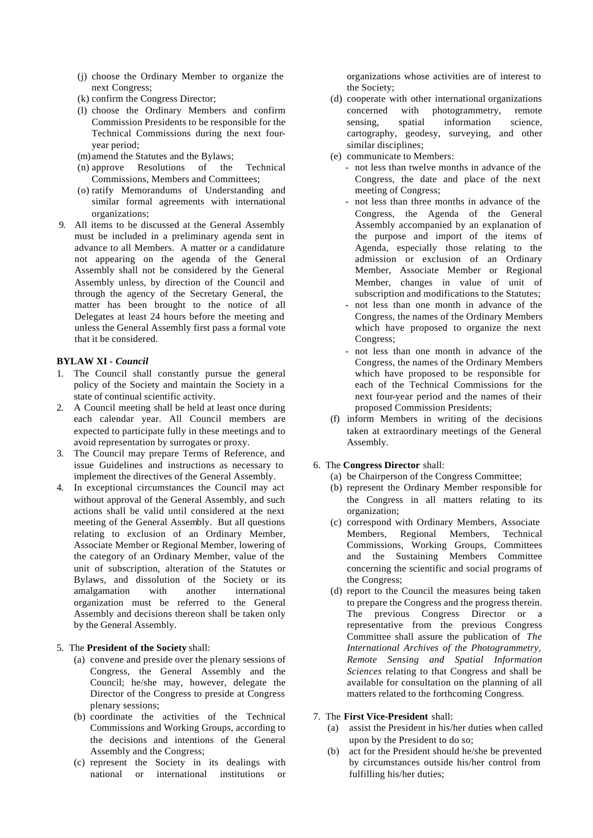- (j) choose the Ordinary Member to organize the next Congress;
- (k) confirm the Congress Director;
- (l) choose the Ordinary Members and confirm Commission Presidents to be responsible for the Technical Commissions during the next fouryear period;
- (m)amend the Statutes and the Bylaws;
- (n) approve Resolutions of the Technical Commissions, Members and Committees;
- (o) ratify Memorandums of Understanding and similar formal agreements with international organizations;
- 9. All items to be discussed at the General Assembly must be included in a preliminary agenda sent in advance to all Members. A matter or a candidature not appearing on the agenda of the General Assembly shall not be considered by the General Assembly unless, by direction of the Council and through the agency of the Secretary General, the matter has been brought to the notice of all Delegates at least 24 hours before the meeting and unless the General Assembly first pass a formal vote that it be considered.

#### **BYLAW XI** *- Council*

- 1. The Council shall constantly pursue the general policy of the Society and maintain the Society in a state of continual scientific activity.
- 2. A Council meeting shall be held at least once during each calendar year. All Council members are expected to participate fully in these meetings and to avoid representation by surrogates or proxy.
- 3. The Council may prepare Terms of Reference, and issue Guidelines and instructions as necessary to implement the directives of the General Assembly.
- 4. In exceptional circumstances the Council may act without approval of the General Assembly, and such actions shall be valid until considered at the next meeting of the General Assembly. But all questions relating to exclusion of an Ordinary Member, Associate Member or Regional Member, lowering of the category of an Ordinary Member, value of the unit of subscription, alteration of the Statutes or Bylaws, and dissolution of the Society or its amalgamation with another international organization must be referred to the General Assembly and decisions thereon shall be taken only by the General Assembly.

#### 5. The **President of the Society** shall:

- (a) convene and preside over the plenary sessions of Congress, the General Assembly and the Council; he/she may, however, delegate the Director of the Congress to preside at Congress plenary sessions;
- (b) coordinate the activities of the Technical Commissions and Working Groups, according to the decisions and intentions of the General Assembly and the Congress;
- (c) represent the Society in its dealings with national or international institutions or

organizations whose activities are of interest to the Society;

- (d) cooperate with other international organizations concerned with photogrammetry, remote sensing, spatial information science, cartography, geodesy, surveying, and other similar disciplines;
- (e) communicate to Members:
	- not less than twelve months in advance of the Congress, the date and place of the next meeting of Congress;
	- not less than three months in advance of the Congress, the Agenda of the General Assembly accompanied by an explanation of the purpose and import of the items of Agenda, especially those relating to the admission or exclusion of an Ordinary Member, Associate Member or Regional Member, changes in value of unit of subscription and modifications to the Statutes;
	- not less than one month in advance of the Congress, the names of the Ordinary Members which have proposed to organize the next Congress;
	- not less than one month in advance of the Congress, the names of the Ordinary Members which have proposed to be responsible for each of the Technical Commissions for the next four-year period and the names of their proposed Commission Presidents;
- (f) inform Members in writing of the decisions taken at extraordinary meetings of the General Assembly.

#### 6. The **Congress Director** shall:

- (a) be Chairperson of the Congress Committee;
- (b) represent the Ordinary Member responsible for the Congress in all matters relating to its organization;
- (c) correspond with Ordinary Members, Associate Members, Regional Members, Technical Commissions, Working Groups, Committees and the Sustaining Members Committee concerning the scientific and social programs of the Congress;
- (d) report to the Council the measures being taken to prepare the Congress and the progress therein. The previous Congress Director or a representative from the previous Congress Committee shall assure the publication of *The International Archives of the Photogrammetry, Remote Sensing and Spatial Information Sciences* relating to that Congress and shall be available for consultation on the planning of all matters related to the forthcoming Congress.

#### 7. The **First Vice-President** shall:

- (a) assist the President in his/her duties when called upon by the President to do so;
- (b) act for the President should he/she be prevented by circumstances outside his/her control from fulfilling his/her duties;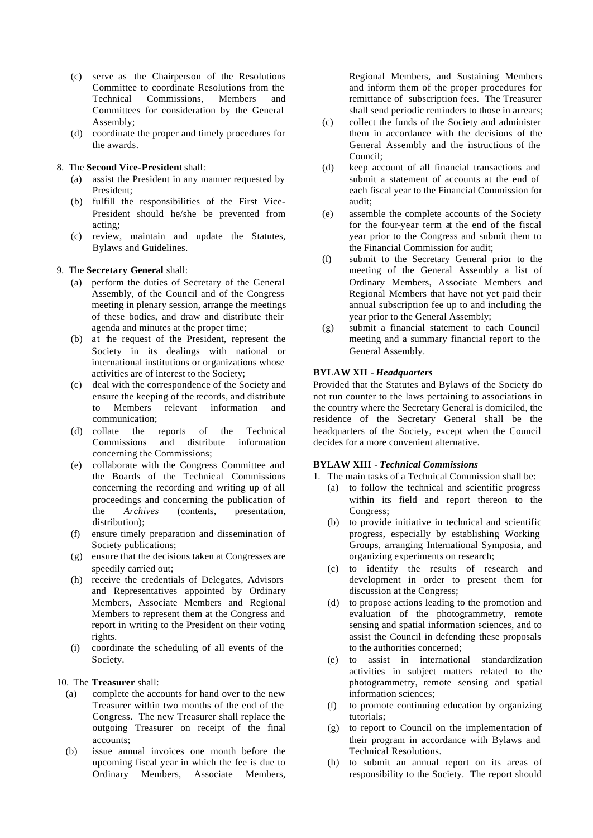- (c) serve as the Chairperson of the Resolutions Committee to coordinate Resolutions from the Technical Commissions, Members and Committees for consideration by the General Assembly;
- (d) coordinate the proper and timely procedures for the awards.

#### 8. The **Second Vice-President** shall:

- (a) assist the President in any manner requested by President;
- (b) fulfill the responsibilities of the First Vice-President should he/she be prevented from acting;
- (c) review, maintain and update the Statutes, Bylaws and Guidelines.

#### 9. The **Secretary General** shall:

- (a) perform the duties of Secretary of the General Assembly, of the Council and of the Congress meeting in plenary session, arrange the meetings of these bodies, and draw and distribute their agenda and minutes at the proper time;
- (b) at the request of the President, represent the Society in its dealings with national or international institutions or organizations whose activities are of interest to the Society;
- (c) deal with the correspondence of the Society and ensure the keeping of the records, and distribute to Members relevant information and communication;
- (d) collate the reports of the Technical and distribute information concerning the Commissions;
- (e) collaborate with the Congress Committee and the Boards of the Technical Commissions concerning the recording and writing up of all proceedings and concerning the publication of the *Archives* (contents, presentation, distribution);
- (f) ensure timely preparation and dissemination of Society publications;
- (g) ensure that the decisions taken at Congresses are speedily carried out;
- (h) receive the credentials of Delegates, Advisors and Representatives appointed by Ordinary Members, Associate Members and Regional Members to represent them at the Congress and report in writing to the President on their voting rights.
- (i) coordinate the scheduling of all events of the Society.

#### 10. The **Treasurer** shall:

- (a) complete the accounts for hand over to the new Treasurer within two months of the end of the Congress. The new Treasurer shall replace the outgoing Treasurer on receipt of the final accounts;
- (b) issue annual invoices one month before the upcoming fiscal year in which the fee is due to Ordinary Members, Associate Members,

Regional Members, and Sustaining Members and inform them of the proper procedures for remittance of subscription fees. The Treasurer shall send periodic reminders to those in arrears;

- (c) collect the funds of the Society and administer them in accordance with the decisions of the General Assembly and the instructions of the Council;
- (d) keep account of all financial transactions and submit a statement of accounts at the end of each fiscal year to the Financial Commission for audit;
- (e) assemble the complete accounts of the Society for the four-year term at the end of the fiscal year prior to the Congress and submit them to the Financial Commission for audit;
- (f) submit to the Secretary General prior to the meeting of the General Assembly a list of Ordinary Members, Associate Members and Regional Members that have not yet paid their annual subscription fee up to and including the year prior to the General Assembly;
- (g) submit a financial statement to each Council meeting and a summary financial report to the General Assembly.

#### **BYLAW XII** *- Headquarters*

Provided that the Statutes and Bylaws of the Society do not run counter to the laws pertaining to associations in the country where the Secretary General is domiciled, the residence of the Secretary General shall be the headquarters of the Society, except when the Council decides for a more convenient alternative.

#### **BYLAW XIII** *- Technical Commissions*

- 1. The main tasks of a Technical Commission shall be:
	- (a) to follow the technical and scientific progress within its field and report thereon to the Congress;
	- (b) to provide initiative in technical and scientific progress, especially by establishing Working Groups, arranging International Symposia, and organizing experiments on research;
	- (c) to identify the results of research and development in order to present them for discussion at the Congress;
	- (d) to propose actions leading to the promotion and evaluation of the photogrammetry, remote sensing and spatial information sciences, and to assist the Council in defending these proposals to the authorities concerned;
	- (e) to assist in international standardization activities in subject matters related to the photogrammetry, remote sensing and spatial information sciences;
	- (f) to promote continuing education by organizing tutorials;
	- (g) to report to Council on the implementation of their program in accordance with Bylaws and Technical Resolutions.
	- (h) to submit an annual report on its areas of responsibility to the Society. The report should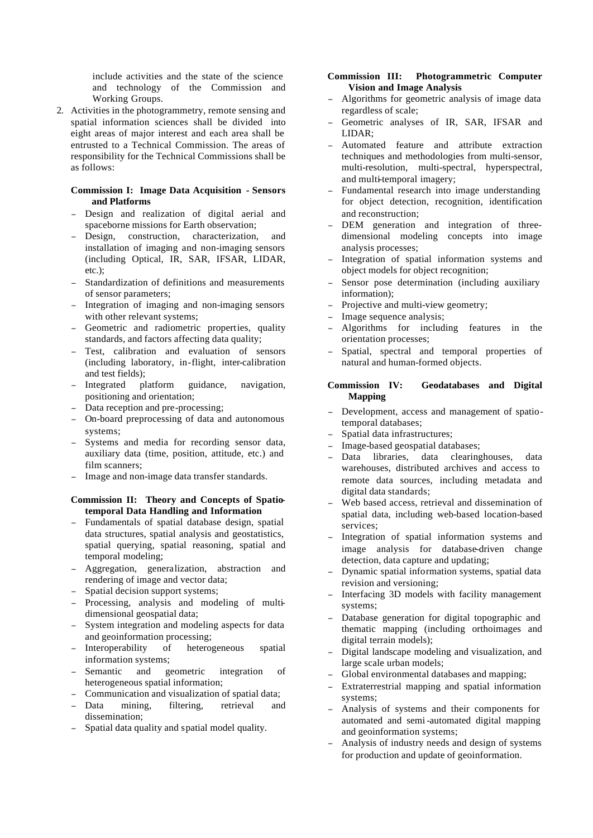include activities and the state of the science and technology of the Commission and Working Groups.

2. Activities in the photogrammetry, remote sensing and spatial information sciences shall be divided into eight areas of major interest and each area shall be entrusted to a Technical Commission. The areas of responsibility for the Technical Commissions shall be as follows:

#### **Commission I: Image Data Acquisition - Sensors and Platforms**

- <sup>−</sup> Design and realization of digital aerial and spaceborne missions for Earth observation;
- Design, construction, characterization, and installation of imaging and non-imaging sensors (including Optical, IR, SAR, IFSAR, LIDAR, etc.).
- Standardization of definitions and measurements of sensor parameters;
- Integration of imaging and non-imaging sensors with other relevant systems;
- Geometric and radiometric properties, quality standards, and factors affecting data quality;
- Test, calibration and evaluation of sensors (including laboratory, in-flight, inter-calibration and test fields);
- Integrated platform guidance, navigation, positioning and orientation;
- Data reception and pre-processing;
- <sup>−</sup> On-board preprocessing of data and autonomous systems;
- Systems and media for recording sensor data, auxiliary data (time, position, attitude, etc.) and film scanners;
- <sup>−</sup> Image and non-image data transfer standards.

#### **Commission II: Theory and Concepts of Spatiotemporal Data Handling and Information**

- Fundamentals of spatial database design, spatial data structures, spatial analysis and geostatistics, spatial querying, spatial reasoning, spatial and temporal modeling;
- <sup>−</sup> Aggregation, generalization, abstraction and rendering of image and vector data;
- Spatial decision support systems;
- <sup>−</sup> Processing, analysis and modeling of multidimensional geospatial data;
- System integration and modeling aspects for data and geoinformation processing;
- Interoperability of heterogeneous spatial information systems;
- <sup>−</sup> Semantic and geometric integration of heterogeneous spatial information;
- <sup>−</sup> Communication and visualization of spatial data;
- Data mining, filtering, retrieval and dissemination;
- Spatial data quality and spatial model quality.

#### **Commission III: Photogrammetric Computer Vision and Image Analysis**

- <sup>−</sup> Algorithms for geometric analysis of image data regardless of scale;
- <sup>−</sup> Geometric analyses of IR, SAR, IFSAR and LIDAR;
- <sup>−</sup> Automated feature and attribute extraction techniques and methodologies from multi-sensor, multi-resolution, multi-spectral, hyperspectral, and multi-temporal imagery;
- <sup>−</sup> Fundamental research into image understanding for object detection, recognition, identification and reconstruction;
- <sup>−</sup> DEM generation and integration of threedimensional modeling concepts into image analysis processes;
- Integration of spatial information systems and object models for object recognition;
- Sensor pose determination (including auxiliary information);
- Projective and multi-view geometry;
- Image sequence analysis;
- <sup>−</sup> Algorithms for including features in the orientation processes;
- <sup>−</sup> Spatial, spectral and temporal properties of natural and human-formed objects.

#### **Commission IV: Geodatabases and Digital Mapping**

- <sup>−</sup> Development, access and management of spatiotemporal databases;
- <sup>−</sup> Spatial data infrastructures;
- <sup>−</sup> Image-based geospatial databases;
- Data libraries, data clearinghouses, data warehouses, distributed archives and access to remote data sources, including metadata and digital data standards;
- Web based access, retrieval and dissemination of spatial data, including web-based location-based services;
- Integration of spatial information systems and image analysis for database-driven change detection, data capture and updating;
- <sup>−</sup> Dynamic spatial information systems, spatial data revision and versioning;
- Interfacing 3D models with facility management systems;
- Database generation for digital topographic and thematic mapping (including orthoimages and digital terrain models);
- <sup>−</sup> Digital landscape modeling and visualization, and large scale urban models;
- Global environmental databases and mapping;
- Extraterrestrial mapping and spatial information systems;
- <sup>−</sup> Analysis of systems and their components for automated and semi-automated digital mapping and geoinformation systems;
- Analysis of industry needs and design of systems for production and update of geoinformation.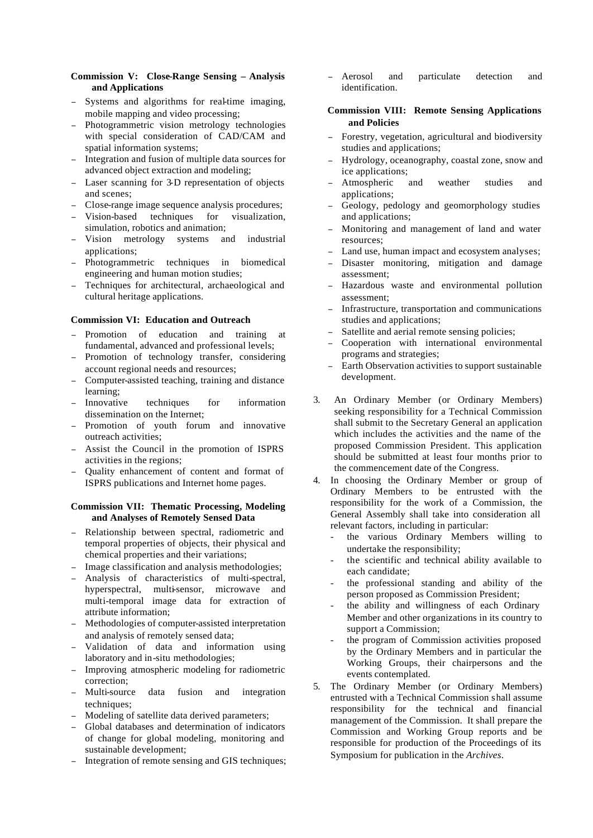#### **Commission V: Close-Range Sensing – Analysis and Applications**

- Systems and algorithms for real-time imaging, mobile mapping and video processing;
- Photogrammetric vision metrology technologies with special consideration of CAD/CAM and spatial information systems;
- Integration and fusion of multiple data sources for advanced object extraction and modeling;
- Laser scanning for 3-D representation of objects and scenes;
- Close-range image sequence analysis procedures;
- Vision-based techniques for visualization, simulation, robotics and animation;
- Vision metrology systems and industrial applications;
- <sup>−</sup> Photogrammetric techniques in biomedical engineering and human motion studies;
- Techniques for architectural, archaeological and cultural heritage applications.

#### **Commission VI: Education and Outreach**

- Promotion of education and training at fundamental, advanced and professional levels;
- Promotion of technology transfer, considering account regional needs and resources;
- <sup>−</sup> Computer-assisted teaching, training and distance learning;
- Innovative techniques for information dissemination on the Internet;
- Promotion of youth forum and innovative outreach activities;
- <sup>−</sup> Assist the Council in the promotion of ISPRS activities in the regions;
- <sup>−</sup> Quality enhancement of content and format of ISPRS publications and Internet home pages.

#### **Commission VII: Thematic Processing, Modeling and Analyses of Remotely Sensed Data**

- <sup>−</sup> Relationship between spectral, radiometric and temporal properties of objects, their physical and chemical properties and their variations;
- Image classification and analysis methodologies;
- <sup>−</sup> Analysis of characteristics of multi-spectral, hyperspectral, multi-sensor, microwave and multi-temporal image data for extraction of attribute information;
- <sup>−</sup> Methodologies of computer-assisted interpretation and analysis of remotely sensed data;
- <sup>−</sup> Validation of data and information using laboratory and in-situ methodologies;
- Improving atmospheric modeling for radiometric correction;
- <sup>−</sup> Multi-source data fusion and integration techniques:
- Modeling of satellite data derived parameters;
- Global databases and determination of indicators of change for global modeling, monitoring and sustainable development;
- Integration of remote sensing and GIS techniques;

<sup>−</sup> Aerosol and particulate detection and identification.

#### **Commission VIII: Remote Sensing Applications and Policies**

- Forestry, vegetation, agricultural and biodiversity studies and applications;
- <sup>−</sup> Hydrology, oceanography, coastal zone, snow and ice applications;
- Atmospheric and weather studies and applications;
- Geology, pedology and geomorphology studies and applications;
- Monitoring and management of land and water resources;
- Land use, human impact and ecosystem analyses;
- Disaster monitoring, mitigation and damage assessment;
- <sup>−</sup> Hazardous waste and environmental pollution assessment;
- <sup>−</sup> Infrastructure, transportation and communications studies and applications;
- <sup>−</sup> Satellite and aerial remote sensing policies;
- <sup>−</sup> Cooperation with international environmental programs and strategies;
- Earth Observation activities to support sustainable development.
- 3. An Ordinary Member (or Ordinary Members) seeking responsibility for a Technical Commission shall submit to the Secretary General an application which includes the activities and the name of the proposed Commission President. This application should be submitted at least four months prior to the commencement date of the Congress.
- 4. In choosing the Ordinary Member or group of Ordinary Members to be entrusted with the responsibility for the work of a Commission, the General Assembly shall take into consideration all relevant factors, including in particular:
	- the various Ordinary Members willing to undertake the responsibility;
	- the scientific and technical ability available to each candidate;
	- the professional standing and ability of the person proposed as Commission President;
	- the ability and willingness of each Ordinary Member and other organizations in its country to support a Commission;
	- the program of Commission activities proposed by the Ordinary Members and in particular the Working Groups, their chairpersons and the events contemplated.
- 5. The Ordinary Member (or Ordinary Members) entrusted with a Technical Commission shall assume responsibility for the technical and financial management of the Commission. It shall prepare the Commission and Working Group reports and be responsible for production of the Proceedings of its Symposium for publication in the *Archives*.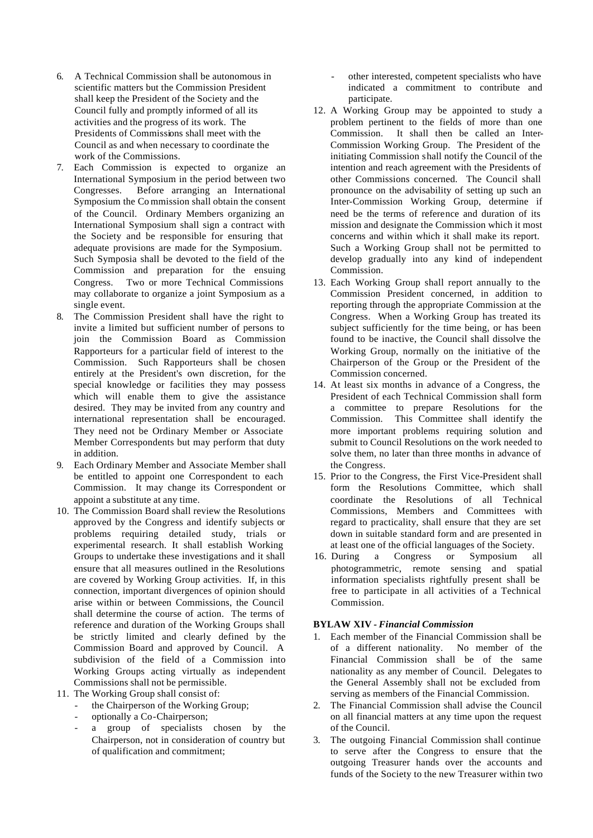- 6. A Technical Commission shall be autonomous in scientific matters but the Commission President shall keep the President of the Society and the Council fully and promptly informed of all its activities and the progress of its work. The Presidents of Commissions shall meet with the Council as and when necessary to coordinate the work of the Commissions.
- 7. Each Commission is expected to organize an International Symposium in the period between two Congresses. Before arranging an International Symposium the Co mmission shall obtain the consent of the Council. Ordinary Members organizing an International Symposium shall sign a contract with the Society and be responsible for ensuring that adequate provisions are made for the Symposium. Such Symposia shall be devoted to the field of the Commission and preparation for the ensuing Congress. Two or more Technical Commissions may collaborate to organize a joint Symposium as a single event.
- 8. The Commission President shall have the right to invite a limited but sufficient number of persons to join the Commission Board as Commission Rapporteurs for a particular field of interest to the Commission. Such Rapporteurs shall be chosen entirely at the President's own discretion, for the special knowledge or facilities they may possess which will enable them to give the assistance desired. They may be invited from any country and international representation shall be encouraged. They need not be Ordinary Member or Associate Member Correspondents but may perform that duty in addition.
- 9. Each Ordinary Member and Associate Member shall be entitled to appoint one Correspondent to each Commission. It may change its Correspondent or appoint a substitute at any time.
- 10. The Commission Board shall review the Resolutions approved by the Congress and identify subjects or problems requiring detailed study, trials or experimental research. It shall establish Working Groups to undertake these investigations and it shall ensure that all measures outlined in the Resolutions are covered by Working Group activities. If, in this connection, important divergences of opinion should arise within or between Commissions, the Council shall determine the course of action. The terms of reference and duration of the Working Groups shall be strictly limited and clearly defined by the Commission Board and approved by Council. A subdivision of the field of a Commission into Working Groups acting virtually as independent Commissions shall not be permissible.
- 11. The Working Group shall consist of:
	- the Chairperson of the Working Group;
	- optionally a Co-Chairperson;
	- a group of specialists chosen by the Chairperson, not in consideration of country but of qualification and commitment;
- other interested, competent specialists who have indicated a commitment to contribute and participate.
- 12. A Working Group may be appointed to study a problem pertinent to the fields of more than one Commission. It shall then be called an Inter-Commission Working Group. The President of the initiating Commission shall notify the Council of the intention and reach agreement with the Presidents of other Commissions concerned. The Council shall pronounce on the advisability of setting up such an Inter-Commission Working Group, determine if need be the terms of reference and duration of its mission and designate the Commission which it most concerns and within which it shall make its report. Such a Working Group shall not be permitted to develop gradually into any kind of independent Commission.
- 13. Each Working Group shall report annually to the Commission President concerned, in addition to reporting through the appropriate Commission at the Congress. When a Working Group has treated its subject sufficiently for the time being, or has been found to be inactive, the Council shall dissolve the Working Group, normally on the initiative of the Chairperson of the Group or the President of the Commission concerned.
- 14. At least six months in advance of a Congress, the President of each Technical Commission shall form a committee to prepare Resolutions for the Commission. This Committee shall identify the more important problems requiring solution and submit to Council Resolutions on the work needed to solve them, no later than three months in advance of the Congress.
- 15. Prior to the Congress, the First Vice-President shall form the Resolutions Committee, which shall coordinate the Resolutions of all Technical Commissions, Members and Committees with regard to practicality, shall ensure that they are set down in suitable standard form and are presented in at least one of the official languages of the Society.
- 16. During a Congress or Symposium all photogrammetric, remote sensing and spatial information specialists rightfully present shall be free to participate in all activities of a Technical Commission.

#### **BYLAW XIV** *- Financial Commission*

- 1. Each member of the Financial Commission shall be of a different nationality. No member of the Financial Commission shall be of the same nationality as any member of Council. Delegates to the General Assembly shall not be excluded from serving as members of the Financial Commission.
- 2. The Financial Commission shall advise the Council on all financial matters at any time upon the request of the Council.
- 3. The outgoing Financial Commission shall continue to serve after the Congress to ensure that the outgoing Treasurer hands over the accounts and funds of the Society to the new Treasurer within two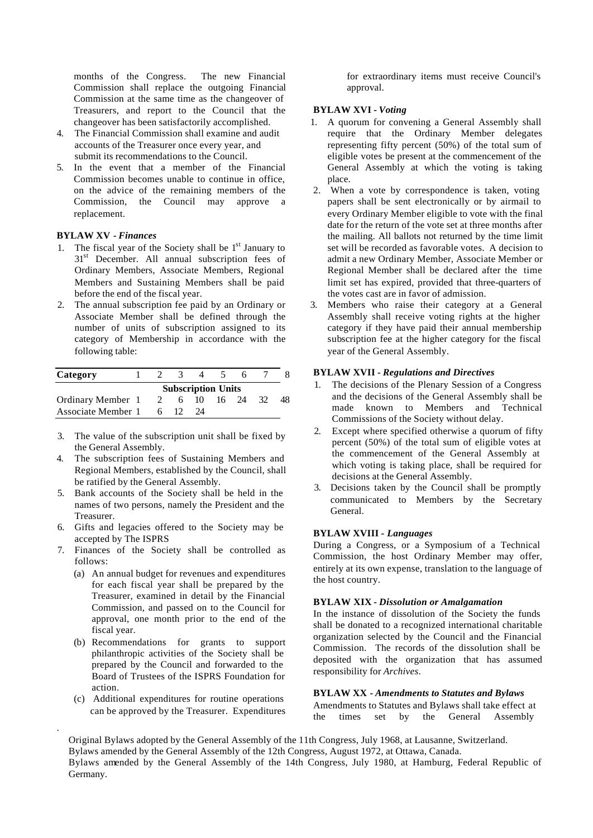months of the Congress. The new Financial Commission shall replace the outgoing Financial Commission at the same time as the changeover of Treasurers, and report to the Council that the changeover has been satisfactorily accomplished.

- 4. The Financial Commission shall examine and audit accounts of the Treasurer once every year, and submit its recommendations to the Council.
- 5. In the event that a member of the Financial Commission becomes unable to continue in office, on the advice of the remaining members of the Commission, the Council may approve a replacement.

#### **BYLAW XV** *- Finances*

- 1. The fiscal year of the Society shall be  $1<sup>st</sup>$  January to 31<sup>st</sup> December. All annual subscription fees of Ordinary Members, Associate Members, Regional Members and Sustaining Members shall be paid before the end of the fiscal year.
- 2. The annual subscription fee paid by an Ordinary or Associate Member shall be defined through the number of units of subscription assigned to its category of Membership in accordance with the following table:

| Category           |                           |                |  |      |  |       |    |    |
|--------------------|---------------------------|----------------|--|------|--|-------|----|----|
|                    | <b>Subscription Units</b> |                |  |      |  |       |    |    |
| Ordinary Member 1  |                           | $\overline{2}$ |  | 6 10 |  | 16 24 | 32 | 48 |
| Associate Member 1 |                           | 6              |  | 24   |  |       |    |    |

- 3. The value of the subscription unit shall be fixed by the General Assembly.
- 4. The subscription fees of Sustaining Members and Regional Members, established by the Council, shall be ratified by the General Assembly.
- 5. Bank accounts of the Society shall be held in the names of two persons, namely the President and the Treasurer.
- 6. Gifts and legacies offered to the Society may be accepted by The ISPRS
- 7. Finances of the Society shall be controlled as follows:
	- (a) An annual budget for revenues and expenditures for each fiscal year shall be prepared by the Treasurer, examined in detail by the Financial Commission, and passed on to the Council for approval, one month prior to the end of the fiscal year.
	- (b) Recommendations for grants to support philanthropic activities of the Society shall be prepared by the Council and forwarded to the Board of Trustees of the ISPRS Foundation for action.
	- (c) Additional expenditures for routine operations can be approved by the Treasurer. Expenditures

.

for extraordinary items must receive Council's approval.

# **BYLAW XVI** *- Voting*

- 1. A quorum for convening a General Assembly shall require that the Ordinary Member delegates representing fifty percent (50%) of the total sum of eligible votes be present at the commencement of the General Assembly at which the voting is taking place.
- 2. When a vote by correspondence is taken, voting papers shall be sent electronically or by airmail to every Ordinary Member eligible to vote with the final date for the return of the vote set at three months after the mailing. All ballots not returned by the time limit set will be recorded as favorable votes. A decision to admit a new Ordinary Member, Associate Member or Regional Member shall be declared after the time limit set has expired, provided that three-quarters of the votes cast are in favor of admission.
- 3. Members who raise their category at a General Assembly shall receive voting rights at the higher category if they have paid their annual membership subscription fee at the higher category for the fiscal year of the General Assembly.

#### **BYLAW XVII** *- Regulations and Directives*

- 1. The decisions of the Plenary Session of a Congress and the decisions of the General Assembly shall be made known to Members and Technical Commissions of the Society without delay.
- 2. Except where specified otherwise a quorum of fifty percent (50%) of the total sum of eligible votes at the commencement of the General Assembly at which voting is taking place, shall be required for decisions at the General Assembly.
- 3. Decisions taken by the Council shall be promptly communicated to Members by the Secretary General.

#### **BYLAW XVIII** *- Languages*

During a Congress, or a Symposium of a Technical Commission, the host Ordinary Member may offer, entirely at its own expense, translation to the language of the host country.

#### **BYLAW XIX** *- Dissolution or Amalgamation*

In the instance of dissolution of the Society the funds shall be donated to a recognized international charitable organization selected by the Council and the Financial Commission. The records of the dissolution shall be deposited with the organization that has assumed responsibility for *Archives*.

#### **BYLAW XX** *- Amendments to Statutes and Bylaws*

Amendments to Statutes and Bylaws shall take effect at the times set by the General Assembly

Original Bylaws adopted by the General Assembly of the 11th Congress, July 1968, at Lausanne, Switzerland. Bylaws amended by the General Assembly of the 12th Congress, August 1972, at Ottawa, Canada. Bylaws amended by the General Assembly of the 14th Congress, July 1980, at Hamburg, Federal Republic of Germany.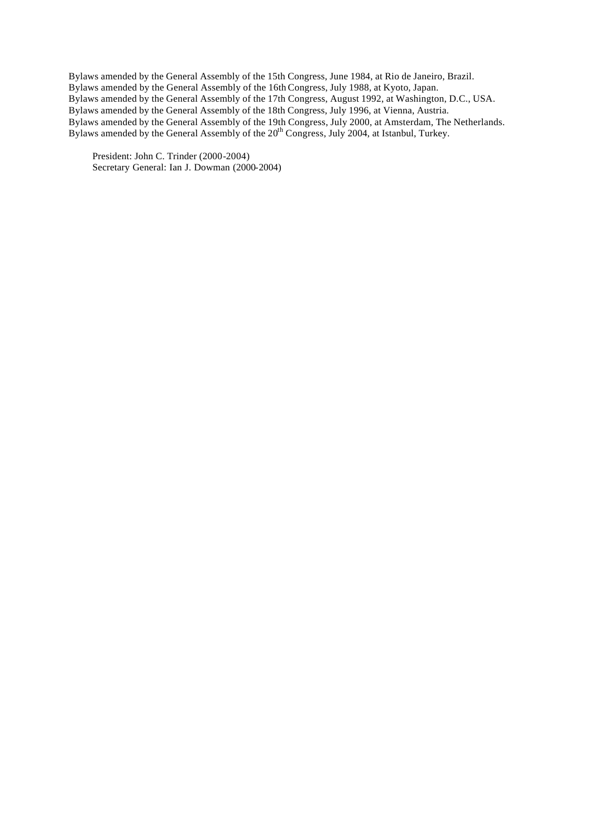Bylaws amended by the General Assembly of the 15th Congress, June 1984, at Rio de Janeiro, Brazil. Bylaws amended by the General Assembly of the 16th Congress, July 1988, at Kyoto, Japan. Bylaws amended by the General Assembly of the 17th Congress, August 1992, at Washington, D.C., USA. Bylaws amended by the General Assembly of the 18th Congress, July 1996, at Vienna, Austria. Bylaws amended by the General Assembly of the 19th Congress, July 2000, at Amsterdam, The Netherlands. Bylaws amended by the General Assembly of the 20<sup>th</sup> Congress, July 2004, at Istanbul, Turkey.

President: John C. Trinder (2000-2004) Secretary General: Ian J. Dowman (2000-2004)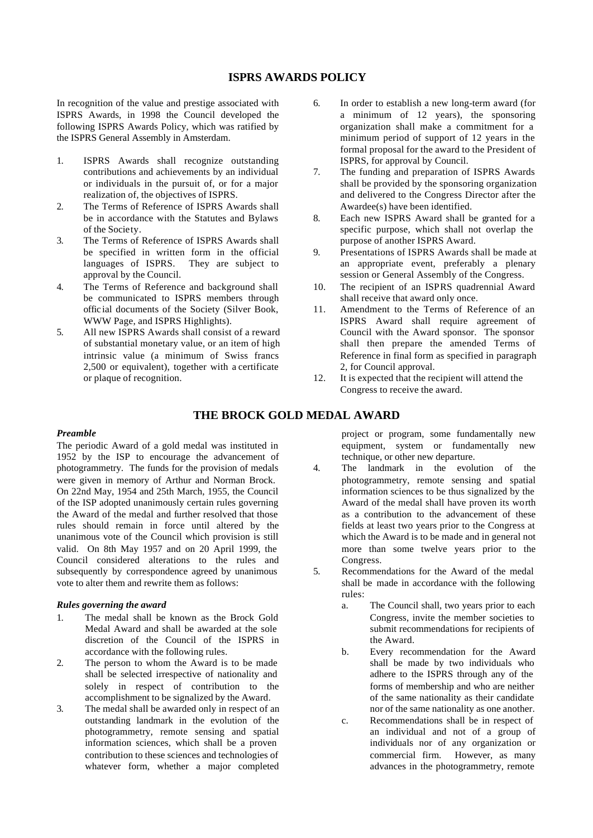# **ISPRS AWARDS POLICY**

In recognition of the value and prestige associated with ISPRS Awards, in 1998 the Council developed the following ISPRS Awards Policy, which was ratified by the ISPRS General Assembly in Amsterdam.

- 1. ISPRS Awards shall recognize outstanding contributions and achievements by an individual or individuals in the pursuit of, or for a major realization of, the objectives of ISPRS.
- 2. The Terms of Reference of ISPRS Awards shall be in accordance with the Statutes and Bylaws of the Society.
- 3. The Terms of Reference of ISPRS Awards shall be specified in written form in the official languages of ISPRS. They are subject to approval by the Council.
- 4. The Terms of Reference and background shall be communicated to ISPRS members through offic ial documents of the Society (Silver Book, WWW Page, and ISPRS Highlights).
- 5. All new ISPRS Awards shall consist of a reward of substantial monetary value, or an item of high intrinsic value (a minimum of Swiss francs 2,500 or equivalent), together with a certificate or plaque of recognition.
- 6. In order to establish a new long-term award (for a minimum of 12 years), the sponsoring organization shall make a commitment for a minimum period of support of 12 years in the formal proposal for the award to the President of ISPRS, for approval by Council.
- 7. The funding and preparation of ISPRS Awards shall be provided by the sponsoring organization and delivered to the Congress Director after the Awardee(s) have been identified.
- 8. Each new ISPRS Award shall be granted for a specific purpose, which shall not overlap the purpose of another ISPRS Award.
- 9. Presentations of ISPRS Awards shall be made at an appropriate event, preferably a plenary session or General Assembly of the Congress.
- 10. The recipient of an ISPRS quadrennial Award shall receive that award only once.
- 11. Amendment to the Terms of Reference of an ISPRS Award shall require agreement of Council with the Award sponsor. The sponsor shall then prepare the amended Terms of Reference in final form as specified in paragraph 2, for Council approval.
- 12. It is expected that the recipient will attend the Congress to receive the award.

# **THE BROCK GOLD MEDAL AWARD**

#### *Preamble*

The periodic Award of a gold medal was instituted in 1952 by the ISP to encourage the advancement of photogrammetry. The funds for the provision of medals were given in memory of Arthur and Norman Brock. On 22nd May, 1954 and 25th March, 1955, the Council of the ISP adopted unanimously certain rules governing the Award of the medal and further resolved that those rules should remain in force until altered by the unanimous vote of the Council which provision is still valid. On 8th May 1957 and on 20 April 1999, the Council considered alterations to the rules and subsequently by correspondence agreed by unanimous vote to alter them and rewrite them as follows:

#### *Rules governing the award*

- 1. The medal shall be known as the Brock Gold Medal Award and shall be awarded at the sole discretion of the Council of the ISPRS in accordance with the following rules.
- 2. The person to whom the Award is to be made shall be selected irrespective of nationality and solely in respect of contribution to the accomplishment to be signalized by the Award.
- 3. The medal shall be awarded only in respect of an outstanding landmark in the evolution of the photogrammetry, remote sensing and spatial information sciences, which shall be a proven contribution to these sciences and technologies of whatever form, whether a major completed

project or program, some fundamentally new equipment, system or fundamentally new technique, or other new departure.

- 4. The landmark in the evolution of the photogrammetry, remote sensing and spatial information sciences to be thus signalized by the Award of the medal shall have proven its worth as a contribution to the advancement of these fields at least two years prior to the Congress at which the Award is to be made and in general not more than some twelve years prior to the Congress.
- 5. Recommendations for the Award of the medal shall be made in accordance with the following rules:
	- a. The Council shall, two years prior to each Congress, invite the member societies to submit recommendations for recipients of the Award.
	- b. Every recommendation for the Award shall be made by two individuals who adhere to the ISPRS through any of the forms of membership and who are neither of the same nationality as their candidate nor of the same nationality as one another.
	- c. Recommendations shall be in respect of an individual and not of a group of individuals nor of any organization or commercial firm. However, as many advances in the photogrammetry, remote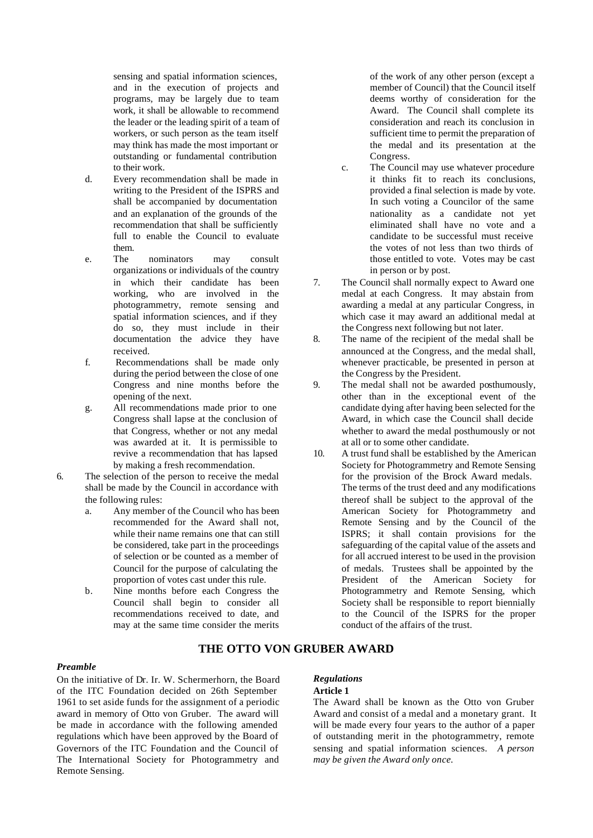sensing and spatial information sciences, and in the execution of projects and programs, may be largely due to team work, it shall be allowable to recommend the leader or the leading spirit of a team of workers, or such person as the team itself may think has made the most important or outstanding or fundamental contribution to their work.

- d. Every recommendation shall be made in writing to the President of the ISPRS and shall be accompanied by documentation and an explanation of the grounds of the recommendation that shall be sufficiently full to enable the Council to evaluate them.
- e. The nominators may consult organizations or individuals of the country in which their candidate has been working, who are involved in the photogrammetry, remote sensing and spatial information sciences, and if they do so, they must include in their documentation the advice they have received.
- f. Recommendations shall be made only during the period between the close of one Congress and nine months before the opening of the next.
- g. All recommendations made prior to one Congress shall lapse at the conclusion of that Congress, whether or not any medal was awarded at it. It is permissible to revive a recommendation that has lapsed by making a fresh recommendation.
- 6. The selection of the person to receive the medal shall be made by the Council in accordance with the following rules:
	- a. Any member of the Council who has been recommended for the Award shall not, while their name remains one that can still be considered, take part in the proceedings of selection or be counted as a member of Council for the purpose of calculating the proportion of votes cast under this rule.
	- b. Nine months before each Congress the Council shall begin to consider all recommendations received to date, and may at the same time consider the merits

of the work of any other person (except a member of Council) that the Council itself deems worthy of consideration for the Award. The Council shall complete its consideration and reach its conclusion in sufficient time to permit the preparation of the medal and its presentation at the Congress.

- c. The Council may use whatever procedure it thinks fit to reach its conclusions, provided a final selection is made by vote. In such voting a Councilor of the same nationality as a candidate not yet eliminated shall have no vote and a candidate to be successful must receive the votes of not less than two thirds of those entitled to vote. Votes may be cast in person or by post.
- 7. The Council shall normally expect to Award one medal at each Congress. It may abstain from awarding a medal at any particular Congress, in which case it may award an additional medal at the Congress next following but not later.
- 8. The name of the recipient of the medal shall be announced at the Congress, and the medal shall, whenever practicable, be presented in person at the Congress by the President.
- 9. The medal shall not be awarded posthumously, other than in the exceptional event of the candidate dying after having been selected for the Award, in which case the Council shall decide whether to award the medal posthumously or not at all or to some other candidate.
- 10. A trust fund shall be established by the American Society for Photogrammetry and Remote Sensing for the provision of the Brock Award medals. The terms of the trust deed and any modifications thereof shall be subject to the approval of the American Society for Photogrammetry and Remote Sensing and by the Council of the ISPRS; it shall contain provisions for the safeguarding of the capital value of the assets and for all accrued interest to be used in the provision of medals. Trustees shall be appointed by the President of the American Society for Photogrammetry and Remote Sensing, which Society shall be responsible to report biennially to the Council of the ISPRS for the proper conduct of the affairs of the trust.

# **THE OTTO VON GRUBER AWARD**

#### *Preamble*

On the initiative of Dr. Ir. W. Schermerhorn, the Board of the ITC Foundation decided on 26th September 1961 to set aside funds for the assignment of a periodic award in memory of Otto von Gruber. The award will be made in accordance with the following amended regulations which have been approved by the Board of Governors of the ITC Foundation and the Council of The International Society for Photogrammetry and Remote Sensing.

#### *Regulations*

# **Article 1**

The Award shall be known as the Otto von Gruber Award and consist of a medal and a monetary grant. It will be made every four years to the author of a paper of outstanding merit in the photogrammetry, remote sensing and spatial information sciences. *A person may be given the Award only once.*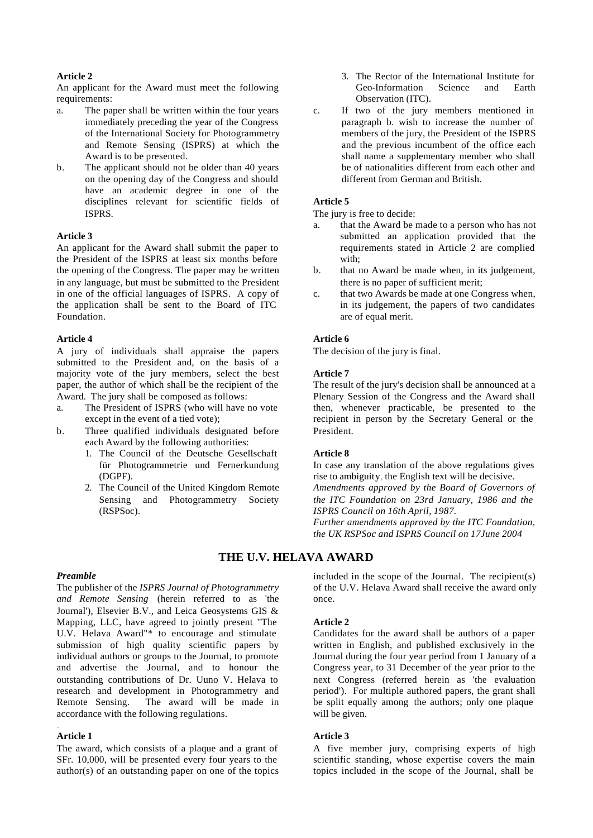#### **Article 2**

An applicant for the Award must meet the following requirements:

- a. The paper shall be written within the four years immediately preceding the year of the Congress of the International Society for Photogrammetry and Remote Sensing (ISPRS) at which the Award is to be presented.
- b. The applicant should not be older than 40 years on the opening day of the Congress and should have an academic degree in one of the disciplines relevant for scientific fields of ISPRS.

#### **Article 3**

An applicant for the Award shall submit the paper to the President of the ISPRS at least six months before the opening of the Congress. The paper may be written in any language, but must be submitted to the President in one of the official languages of ISPRS. A copy of the application shall be sent to the Board of ITC Foundation.

#### **Article 4**

A jury of individuals shall appraise the papers submitted to the President and, on the basis of a majority vote of the jury members, select the best paper, the author of which shall be the recipient of the Award. The jury shall be composed as follows:

- a. The President of ISPRS (who will have no vote except in the event of a tied vote);
- b. Three qualified individuals designated before each Award by the following authorities:
	- 1. The Council of the Deutsche Gesellschaft für Photogrammetrie und Fernerkundung (DGPF).
	- 2. The Council of the United Kingdom Remote Sensing and Photogrammetry Society (RSPSoc).
- 3. The Rector of the International Institute for Geo-Information Science and Earth Observation (ITC).
- c. If two of the jury members mentioned in paragraph b. wish to increase the number of members of the jury, the President of the ISPRS and the previous incumbent of the office each shall name a supplementary member who shall be of nationalities different from each other and different from German and British.

#### **Article 5**

The jury is free to decide:

- a. that the Award be made to a person who has not submitted an application provided that the requirements stated in Article 2 are complied with;
- b. that no Award be made when, in its judgement, there is no paper of sufficient merit;
- c. that two Awards be made at one Congress when, in its judgement, the papers of two candidates are of equal merit.

#### **Article 6**

The decision of the jury is final.

#### **Article 7**

The result of the jury's decision shall be announced at a Plenary Session of the Congress and the Award shall then, whenever practicable, be presented to the recipient in person by the Secretary General or the President.

#### **Article 8**

In case any translation of the above regulations gives rise to ambiguity, the English text will be decisive.

*Amendments approved by the Board of Governors of the ITC Foundation on 23rd January, 1986 and the ISPRS Council on 16th April, 1987.*

*Further amendments approved by the ITC Foundation, the UK RSPSoc and ISPRS Council on 17June 2004*

# **THE U.V. HELAVA AWARD**

#### *Preamble*

The publisher of the *ISPRS Journal of Photogrammetry and Remote Sensing* (herein referred to as 'the Journal'), Elsevier B.V., and Leica Geosystems GIS & Mapping, LLC, have agreed to jointly present "The U.V. Helava Award"\* to encourage and stimulate submission of high quality scientific papers by individual authors or groups to the Journal, to promote and advertise the Journal, and to honour the outstanding contributions of Dr. Uuno V. Helava to research and development in Photogrammetry and Remote Sensing. The award will be made in accordance with the following regulations.

#### **Article 1**

.

The award, which consists of a plaque and a grant of SFr. 10,000, will be presented every four years to the author(s) of an outstanding paper on one of the topics included in the scope of the Journal. The recipient(s) of the U.V. Helava Award shall receive the award only once.

#### **Article 2**

Candidates for the award shall be authors of a paper written in English, and published exclusively in the Journal during the four year period from 1 January of a Congress year, to 31 December of the year prior to the next Congress (referred herein as 'the evaluation period'). For multiple authored papers, the grant shall be split equally among the authors; only one plaque will be given.

#### **Article 3**

A five member jury, comprising experts of high scientific standing, whose expertise covers the main topics included in the scope of the Journal, shall be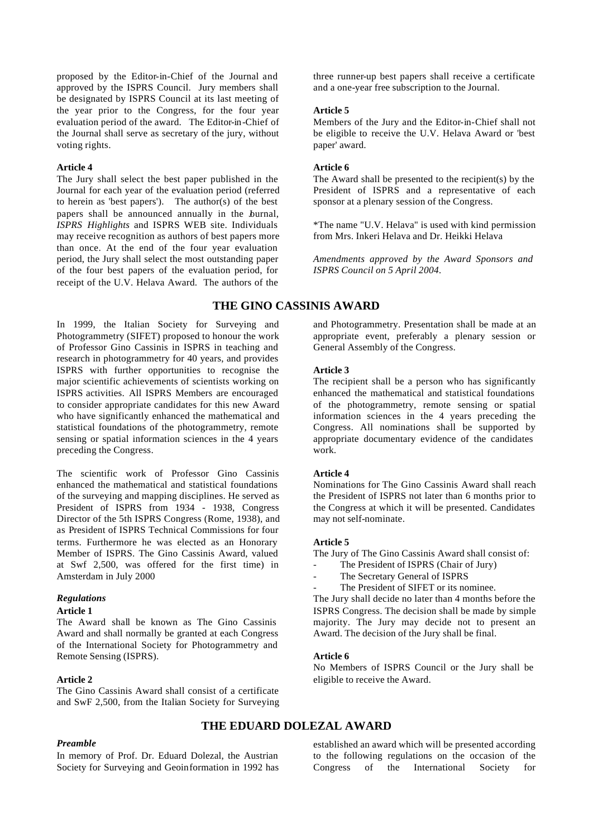proposed by the Editor-in-Chief of the Journal and approved by the ISPRS Council. Jury members shall be designated by ISPRS Council at its last meeting of the year prior to the Congress, for the four year evaluation period of the award. The Editor-in-Chief of the Journal shall serve as secretary of the jury, without voting rights.

#### **Article 4**

The Jury shall select the best paper published in the Journal for each year of the evaluation period (referred to herein as 'best papers'). The author(s) of the best papers shall be announced annually in the burnal, *ISPRS Highlights* and ISPRS WEB site. Individuals may receive recognition as authors of best papers more than once. At the end of the four year evaluation period, the Jury shall select the most outstanding paper of the four best papers of the evaluation period, for receipt of the U.V. Helava Award. The authors of the

In 1999, the Italian Society for Surveying and Photogrammetry (SIFET) proposed to honour the work of Professor Gino Cassinis in ISPRS in teaching and research in photogrammetry for 40 years, and provides ISPRS with further opportunities to recognise the major scientific achievements of scientists working on ISPRS activities. All ISPRS Members are encouraged to consider appropriate candidates for this new Award who have significantly enhanced the mathematical and statistical foundations of the photogrammetry, remote sensing or spatial information sciences in the 4 years preceding the Congress.

The scientific work of Professor Gino Cassinis enhanced the mathematical and statistical foundations of the surveying and mapping disciplines. He served as President of ISPRS from 1934 - 1938, Congress Director of the 5th ISPRS Congress (Rome, 1938), and as President of ISPRS Technical Commissions for four terms. Furthermore he was elected as an Honorary Member of ISPRS. The Gino Cassinis Award, valued at Swf 2,500, was offered for the first time) in Amsterdam in July 2000

#### *Regulations*

#### **Article 1**

The Award shall be known as The Gino Cassinis Award and shall normally be granted at each Congress of the International Society for Photogrammetry and Remote Sensing (ISPRS).

#### **Article 2**

The Gino Cassinis Award shall consist of a certificate and SwF 2,500, from the Italian Society for Surveying

#### *Preamble*

In memory of Prof. Dr. Eduard Dolezal, the Austrian Society for Surveying and Geoinformation in 1992 has three runner-up best papers shall receive a certificate and a one-year free subscription to the Journal.

#### **Article 5**

Members of the Jury and the Editor-in-Chief shall not be eligible to receive the U.V. Helava Award or 'best paper' award.

#### **Article 6**

The Award shall be presented to the recipient(s) by the President of ISPRS and a representative of each sponsor at a plenary session of the Congress.

\*The name "U.V. Helava" is used with kind permission from Mrs. Inkeri Helava and Dr. Heikki Helava

*Amendments approved by the Award Sponsors and ISPRS Council on 5 April 2004.*

## **THE GINO CASSINIS AWARD**

and Photogrammetry. Presentation shall be made at an appropriate event, preferably a plenary session or General Assembly of the Congress.

#### **Article 3**

The recipient shall be a person who has significantly enhanced the mathematical and statistical foundations of the photogrammetry, remote sensing or spatial information sciences in the 4 years preceding the Congress. All nominations shall be supported by appropriate documentary evidence of the candidates work.

#### **Article 4**

Nominations for The Gino Cassinis Award shall reach the President of ISPRS not later than 6 months prior to the Congress at which it will be presented. Candidates may not self-nominate.

#### **Article 5**

The Jury of The Gino Cassinis Award shall consist of:

- The President of ISPRS (Chair of Jury)
- The Secretary General of ISPRS
- The President of SIFET or its nominee.

The Jury shall decide no later than 4 months before the ISPRS Congress. The decision shall be made by simple majority. The Jury may decide not to present an Award. The decision of the Jury shall be final.

#### **Article 6**

No Members of ISPRS Council or the Jury shall be eligible to receive the Award.

# **THE EDUARD DOLEZAL AWARD**

established an award which will be presented according to the following regulations on the occasion of the Congress of the International Society for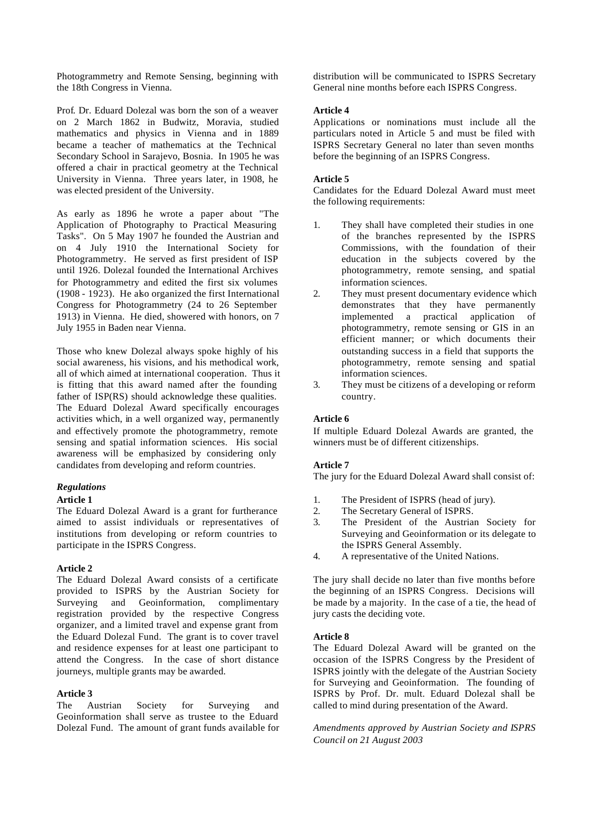Photogrammetry and Remote Sensing, beginning with the 18th Congress in Vienna.

Prof. Dr. Eduard Dolezal was born the son of a weaver on 2 March 1862 in Budwitz, Moravia, studied mathematics and physics in Vienna and in 1889 became a teacher of mathematics at the Technical Secondary School in Sarajevo, Bosnia. In 1905 he was offered a chair in practical geometry at the Technical University in Vienna. Three years later, in 1908, he was elected president of the University.

As early as 1896 he wrote a paper about "The Application of Photography to Practical Measuring Tasks". On 5 May 1907 he founded the Austrian and on 4 July 1910 the International Society for Photogrammetry. He served as first president of ISP until 1926. Dolezal founded the International Archives for Photogrammetry and edited the first six volumes (1908 - 1923). He also organized the first International Congress for Photogrammetry (24 to 26 September 1913) in Vienna. He died, showered with honors, on 7 July 1955 in Baden near Vienna.

Those who knew Dolezal always spoke highly of his social awareness, his visions, and his methodical work, all of which aimed at international cooperation. Thus it is fitting that this award named after the founding father of ISP(RS) should acknowledge these qualities. The Eduard Dolezal Award specifically encourages activities which, in a well organized way, permanently and effectively promote the photogrammetry, remote sensing and spatial information sciences. His social awareness will be emphasized by considering only candidates from developing and reform countries.

#### *Regulations*

#### **Article 1**

The Eduard Dolezal Award is a grant for furtherance aimed to assist individuals or representatives of institutions from developing or reform countries to participate in the ISPRS Congress.

#### **Article 2**

The Eduard Dolezal Award consists of a certificate provided to ISPRS by the Austrian Society for Surveying and Geoinformation, complimentary registration provided by the respective Congress organizer, and a limited travel and expense grant from the Eduard Dolezal Fund. The grant is to cover travel and residence expenses for at least one participant to attend the Congress. In the case of short distance journeys, multiple grants may be awarded.

#### **Article 3**

The Austrian Society for Surveying and Geoinformation shall serve as trustee to the Eduard Dolezal Fund. The amount of grant funds available for distribution will be communicated to ISPRS Secretary General nine months before each ISPRS Congress.

#### **Article 4**

Applications or nominations must include all the particulars noted in Article 5 and must be filed with ISPRS Secretary General no later than seven months before the beginning of an ISPRS Congress.

#### **Article 5**

Candidates for the Eduard Dolezal Award must meet the following requirements:

- 1. They shall have completed their studies in one of the branches represented by the ISPRS Commissions, with the foundation of their education in the subjects covered by the photogrammetry, remote sensing, and spatial information sciences.
- 2. They must present documentary evidence which demonstrates that they have permanently implemented a practical application of photogrammetry, remote sensing or GIS in an efficient manner; or which documents their outstanding success in a field that supports the photogrammetry, remote sensing and spatial information sciences.
- 3. They must be citizens of a developing or reform country.

#### **Article 6**

If multiple Eduard Dolezal Awards are granted, the winners must be of different citizenships.

#### **Article 7**

The jury for the Eduard Dolezal Award shall consist of:

- 1. The President of ISPRS (head of jury).
- 2. The Secretary General of ISPRS.
- 3. The President of the Austrian Society for Surveying and Geoinformation or its delegate to the ISPRS General Assembly.
- 4. A representative of the United Nations.

The jury shall decide no later than five months before the beginning of an ISPRS Congress. Decisions will be made by a majority. In the case of a tie, the head of jury casts the deciding vote.

#### **Article 8**

The Eduard Dolezal Award will be granted on the occasion of the ISPRS Congress by the President of ISPRS jointly with the delegate of the Austrian Society for Surveying and Geoinformation. The founding of ISPRS by Prof. Dr. mult. Eduard Dolezal shall be called to mind during presentation of the Award.

*Amendments approved by Austrian Society and ISPRS Council on 21 August 2003*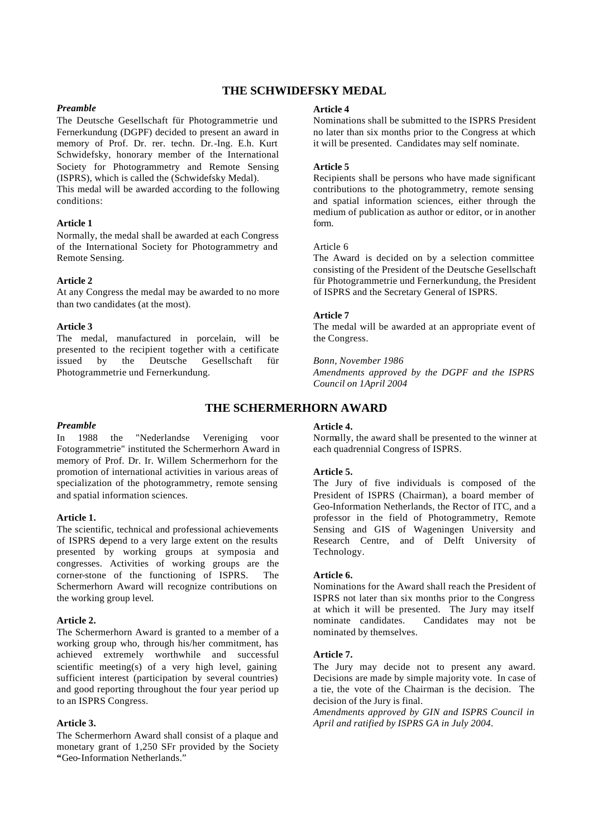# **THE SCHWIDEFSKY MEDAL**

#### *Preamble*

The Deutsche Gesellschaft für Photogrammetrie und Fernerkundung (DGPF) decided to present an award in memory of Prof. Dr. rer. techn. Dr.-Ing. E.h. Kurt Schwidefsky, honorary member of the International Society for Photogrammetry and Remote Sensing (ISPRS), which is called the (Schwidefsky Medal). This medal will be awarded according to the following conditions:

#### **Article 1**

Normally, the medal shall be awarded at each Congress of the International Society for Photogrammetry and Remote Sensing.

#### **Article 2**

At any Congress the medal may be awarded to no more than two candidates (at the most).

#### **Article 3**

The medal, manufactured in porcelain, will be presented to the recipient together with a certificate issued by the Deutsche Gesellschaft für Photogrammetrie und Fernerkundung.

#### *Preamble*

In 1988 the "Nederlandse Vereniging voor Fotogrammetrie" instituted the Schermerhorn Award in memory of Prof. Dr. Ir. Willem Schermerhorn for the promotion of international activities in various areas of specialization of the photogrammetry, remote sensing and spatial information sciences.

#### **Article 1.**

The scientific, technical and professional achievements of ISPRS depend to a very large extent on the results presented by working groups at symposia and congresses. Activities of working groups are the corner-stone of the functioning of ISPRS. The Schermerhorn Award will recognize contributions on the working group level.

#### **Article 2.**

The Schermerhorn Award is granted to a member of a working group who, through his/her commitment, has achieved extremely worthwhile and successful scientific meeting(s) of a very high level, gaining sufficient interest (participation by several countries) and good reporting throughout the four year period up to an ISPRS Congress.

# **Article 3.**

The Schermerhorn Award shall consist of a plaque and monetary grant of 1,250 SFr provided by the Society **"**Geo-Information Netherlands."

#### **Article 4**

Nominations shall be submitted to the ISPRS President no later than six months prior to the Congress at which it will be presented. Candidates may self nominate.

#### **Article 5**

Recipients shall be persons who have made significant contributions to the photogrammetry, remote sensing and spatial information sciences, either through the medium of publication as author or editor, or in another form.

#### Article 6

The Award is decided on by a selection committee consisting of the President of the Deutsche Gesellschaft für Photogrammetrie und Fernerkundung, the President of ISPRS and the Secretary General of ISPRS.

#### **Article 7**

The medal will be awarded at an appropriate event of the Congress.

#### *Bonn, November 1986*

*Amendments approved by the DGPF and the ISPRS Council on 1April 2004*

# **THE SCHERMERHORN AWARD**

#### **Article 4.**

Normally, the award shall be presented to the winner at each quadrennial Congress of ISPRS.

#### **Article 5.**

The Jury of five individuals is composed of the President of ISPRS (Chairman), a board member of Geo-Information Netherlands, the Rector of ITC, and a professor in the field of Photogrammetry, Remote Sensing and GIS of Wageningen University and Research Centre, and of Delft University of Technology.

#### **Article 6.**

Nominations for the Award shall reach the President of ISPRS not later than six months prior to the Congress at which it will be presented. The Jury may itself nominate candidates. Candidates may not be nominated by themselves.

#### **Article 7.**

The Jury may decide not to present any award. Decisions are made by simple majority vote. In case of a tie, the vote of the Chairman is the decision. The decision of the Jury is final.

*Amendments approved by GIN and ISPRS Council in April and ratified by ISPRS GA in July 2004*.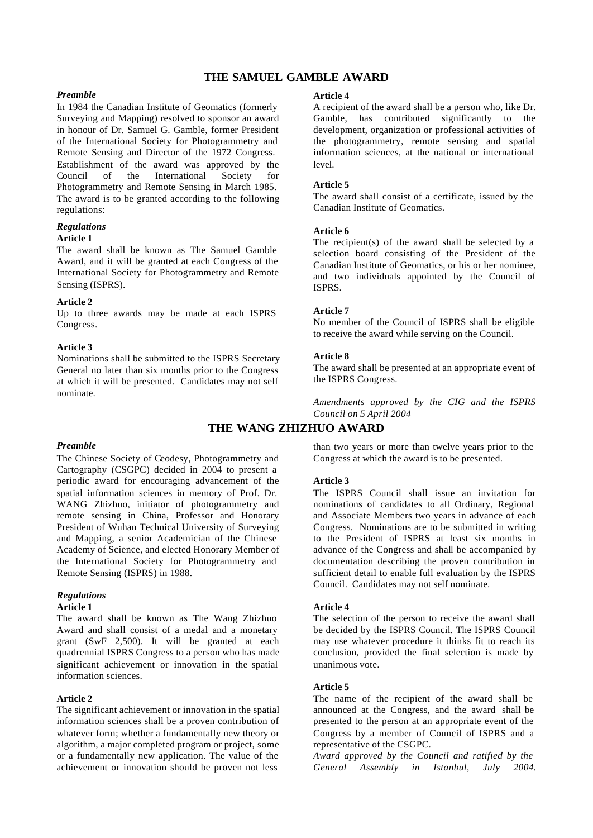# **THE SAMUEL GAMBLE AWARD**

#### *Preamble*

In 1984 the Canadian Institute of Geomatics (formerly Surveying and Mapping) resolved to sponsor an award in honour of Dr. Samuel G. Gamble, former President of the International Society for Photogrammetry and Remote Sensing and Director of the 1972 Congress. Establishment of the award was approved by the Council of the International Society for Photogrammetry and Remote Sensing in March 1985. The award is to be granted according to the following regulations:

# *Regulations*

#### **Article 1**

The award shall be known as The Samuel Gamble Award, and it will be granted at each Congress of the International Society for Photogrammetry and Remote Sensing (ISPRS).

#### **Article 2**

Up to three awards may be made at each ISPRS Congress.

#### **Article 3**

Nominations shall be submitted to the ISPRS Secretary General no later than six months prior to the Congress at which it will be presented. Candidates may not self nominate.

#### *Preamble*

The Chinese Society of Geodesy, Photogrammetry and Cartography (CSGPC) decided in 2004 to present a periodic award for encouraging advancement of the spatial information sciences in memory of Prof. Dr. WANG Zhizhuo, initiator of photogrammetry and remote sensing in China, Professor and Honorary President of Wuhan Technical University of Surveying and Mapping, a senior Academician of the Chinese Academy of Science, and elected Honorary Member of the International Society for Photogrammetry and Remote Sensing (ISPRS) in 1988.

#### *Regulations*

#### **Article 1**

The award shall be known as The Wang Zhizhuo Award and shall consist of a medal and a monetary grant (SwF 2,500). It will be granted at each quadrennial ISPRS Congress to a person who has made significant achievement or innovation in the spatial information sciences.

#### **Article 2**

The significant achievement or innovation in the spatial information sciences shall be a proven contribution of whatever form; whether a fundamentally new theory or algorithm, a major completed program or project, some or a fundamentally new application. The value of the achievement or innovation should be proven not less

#### **Article 4**

A recipient of the award shall be a person who, like Dr. Gamble, has contributed significantly to the development, organization or professional activities of the photogrammetry, remote sensing and spatial information sciences, at the national or international level.

#### **Article 5**

The award shall consist of a certificate, issued by the Canadian Institute of Geomatics.

#### **Article 6**

The recipient(s) of the award shall be selected by a selection board consisting of the President of the Canadian Institute of Geomatics, or his or her nominee, and two individuals appointed by the Council of ISPRS.

#### **Article 7**

No member of the Council of ISPRS shall be eligible to receive the award while serving on the Council.

#### **Article 8**

The award shall be presented at an appropriate event of the ISPRS Congress.

*Amendments approved by the CIG and the ISPRS Council on 5 April 2004*

# **THE WANG ZHIZHUO AWARD**

than two years or more than twelve years prior to the Congress at which the award is to be presented.

#### **Article 3**

The ISPRS Council shall issue an invitation for nominations of candidates to all Ordinary, Regional and Associate Members two years in advance of each Congress. Nominations are to be submitted in writing to the President of ISPRS at least six months in advance of the Congress and shall be accompanied by documentation describing the proven contribution in sufficient detail to enable full evaluation by the ISPRS Council. Candidates may not self nominate.

#### **Article 4**

The selection of the person to receive the award shall be decided by the ISPRS Council. The ISPRS Council may use whatever procedure it thinks fit to reach its conclusion, provided the final selection is made by unanimous vote.

#### **Article 5**

The name of the recipient of the award shall be announced at the Congress, and the award shall be presented to the person at an appropriate event of the Congress by a member of Council of ISPRS and a representative of the CSGPC.

*Award approved by the Council and ratified by the General Assembly in Istanbul, July 2004.*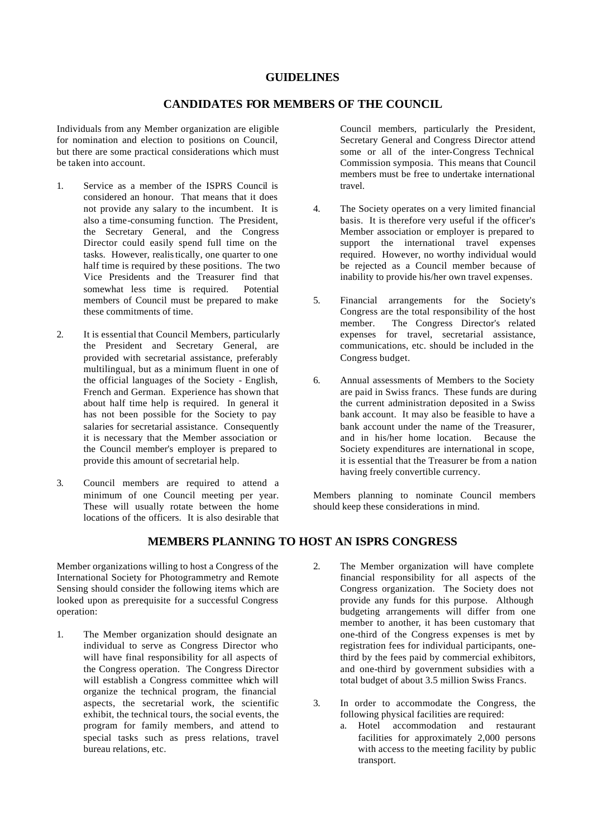# **GUIDELINES**

# **CANDIDATES FOR MEMBERS OF THE COUNCIL**

Individuals from any Member organization are eligible for nomination and election to positions on Council, but there are some practical considerations which must be taken into account.

- 1. Service as a member of the ISPRS Council is considered an honour. That means that it does not provide any salary to the incumbent. It is also a time-consuming function. The President, the Secretary General, and the Congress Director could easily spend full time on the tasks. However, realistically, one quarter to one half time is required by these positions. The two Vice Presidents and the Treasurer find that somewhat less time is required. Potential members of Council must be prepared to make these commitments of time.
- 2. It is essential that Council Members, particularly the President and Secretary General, are provided with secretarial assistance, preferably multilingual, but as a minimum fluent in one of the official languages of the Society - English, French and German. Experience has shown that about half time help is required. In general it has not been possible for the Society to pay salaries for secretarial assistance. Consequently it is necessary that the Member association or the Council member's employer is prepared to provide this amount of secretarial help.
- 3. Council members are required to attend a minimum of one Council meeting per year. These will usually rotate between the home locations of the officers. It is also desirable that

Council members, particularly the President, Secretary General and Congress Director attend some or all of the inter-Congress Technical Commission symposia. This means that Council members must be free to undertake international travel.

- 4. The Society operates on a very limited financial basis. It is therefore very useful if the officer's Member association or employer is prepared to support the international travel expenses required. However, no worthy individual would be rejected as a Council member because of inability to provide his/her own travel expenses.
- 5. Financial arrangements for the Society's Congress are the total responsibility of the host member. The Congress Director's related expenses for travel, secretarial assistance, communications, etc. should be included in the Congress budget.
- 6. Annual assessments of Members to the Society are paid in Swiss francs. These funds are during the current administration deposited in a Swiss bank account. It may also be feasible to have a bank account under the name of the Treasurer. and in his/her home location. Because the Society expenditures are international in scope, it is essential that the Treasurer be from a nation having freely convertible currency.

Members planning to nominate Council members should keep these considerations in mind.

# **MEMBERS PLANNING TO HOST AN ISPRS CONGRESS**

Member organizations willing to host a Congress of the International Society for Photogrammetry and Remote Sensing should consider the following items which are looked upon as prerequisite for a successful Congress operation:

- 1. The Member organization should designate an individual to serve as Congress Director who will have final responsibility for all aspects of the Congress operation. The Congress Director will establish a Congress committee which will organize the technical program, the financial aspects, the secretarial work, the scientific exhibit, the technical tours, the social events, the program for family members, and attend to special tasks such as press relations, travel bureau relations, etc.
- 2. The Member organization will have complete financial responsibility for all aspects of the Congress organization. The Society does not provide any funds for this purpose. Although budgeting arrangements will differ from one member to another, it has been customary that one-third of the Congress expenses is met by registration fees for individual participants, onethird by the fees paid by commercial exhibitors, and one-third by government subsidies with a total budget of about 3.5 million Swiss Francs.
- 3. In order to accommodate the Congress, the following physical facilities are required:
	- a. Hotel accommodation and restaurant facilities for approximately 2,000 persons with access to the meeting facility by public transport.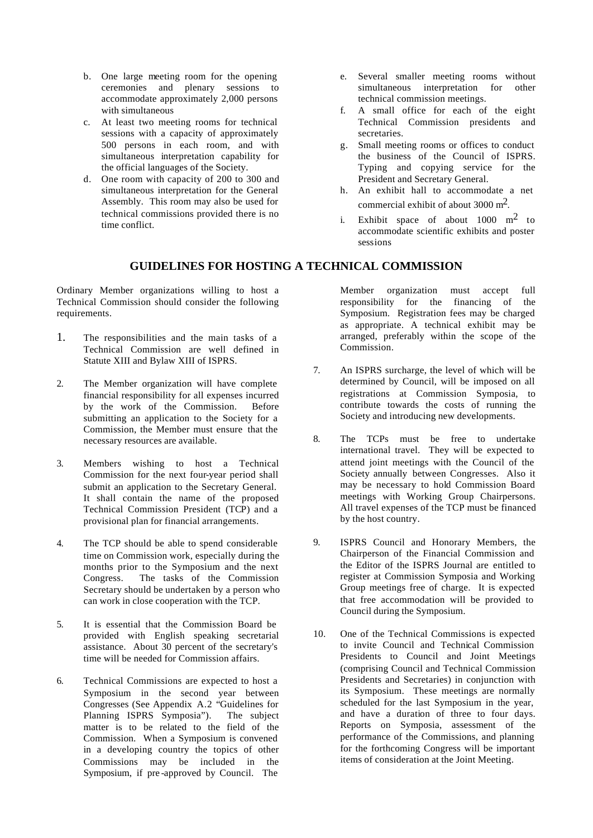- b. One large meeting room for the opening ceremonies and plenary sessions to accommodate approximately 2,000 persons with simultaneous
- c. At least two meeting rooms for technical sessions with a capacity of approximately 500 persons in each room, and with simultaneous interpretation capability for the official languages of the Society.
- d. One room with capacity of 200 to 300 and simultaneous interpretation for the General Assembly. This room may also be used for technical commissions provided there is no time conflict.
- e. Several smaller meeting rooms without simultaneous interpretation for other technical commission meetings.
- f. A small office for each of the eight Technical Commission presidents and secretaries.
- g. Small meeting rooms or offices to conduct the business of the Council of ISPRS. Typing and copying service for the President and Secretary General.
- h. An exhibit hall to accommodate a net commercial exhibit of about 3000 m2.
- i. Exhibit space of about 1000 m2 to accommodate scientific exhibits and poster sessions

# **GUIDELINES FOR HOSTING A TECHNICAL COMMISSION**

Ordinary Member organizations willing to host a Technical Commission should consider the following requirements.

- 1. The responsibilities and the main tasks of a Technical Commission are well defined in Statute XIII and Bylaw XIII of ISPRS.
- 2. The Member organization will have complete financial responsibility for all expenses incurred by the work of the Commission. Before submitting an application to the Society for a Commission, the Member must ensure that the necessary resources are available.
- 3. Members wishing to host a Technical Commission for the next four-year period shall submit an application to the Secretary General. It shall contain the name of the proposed Technical Commission President (TCP) and a provisional plan for financial arrangements.
- 4. The TCP should be able to spend considerable time on Commission work, especially during the months prior to the Symposium and the next Congress. The tasks of the Commission Secretary should be undertaken by a person who can work in close cooperation with the TCP.
- 5. It is essential that the Commission Board be provided with English speaking secretarial assistance. About 30 percent of the secretary's time will be needed for Commission affairs.
- 6. Technical Commissions are expected to host a Symposium in the second year between Congresses (See Appendix A.2 "Guidelines for Planning ISPRS Symposia"). The subject matter is to be related to the field of the Commission. When a Symposium is convened in a developing country the topics of other Commissions may be included in the Symposium, if pre -approved by Council. The

Member organization must accept full responsibility for the financing of the Symposium. Registration fees may be charged as appropriate. A technical exhibit may be arranged, preferably within the scope of the Commission.

- 7. An ISPRS surcharge, the level of which will be determined by Council, will be imposed on all registrations at Commission Symposia, to contribute towards the costs of running the Society and introducing new developments.
- 8. The TCPs must be free to undertake international travel. They will be expected to attend joint meetings with the Council of the Society annually between Congresses. Also it may be necessary to hold Commission Board meetings with Working Group Chairpersons. All travel expenses of the TCP must be financed by the host country.
- 9. ISPRS Council and Honorary Members, the Chairperson of the Financial Commission and the Editor of the ISPRS Journal are entitled to register at Commission Symposia and Working Group meetings free of charge. It is expected that free accommodation will be provided to Council during the Symposium.
- 10. One of the Technical Commissions is expected to invite Council and Technical Commission Presidents to Council and Joint Meetings (comprising Council and Technical Commission Presidents and Secretaries) in conjunction with its Symposium. These meetings are normally scheduled for the last Symposium in the year, and have a duration of three to four days. Reports on Symposia, assessment of the performance of the Commissions, and planning for the forthcoming Congress will be important items of consideration at the Joint Meeting.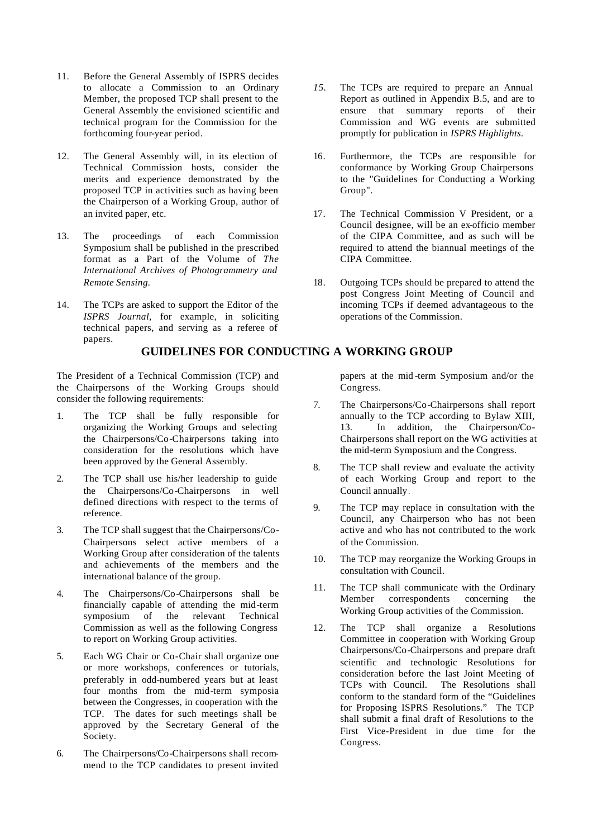- 11. Before the General Assembly of ISPRS decides to allocate a Commission to an Ordinary Member, the proposed TCP shall present to the General Assembly the envisioned scientific and technical program for the Commission for the forthcoming four-year period.
- 12. The General Assembly will, in its election of Technical Commission hosts, consider the merits and experience demonstrated by the proposed TCP in activities such as having been the Chairperson of a Working Group, author of an invited paper, etc.
- 13. The proceedings of each Commission Symposium shall be published in the prescribed format as a Part of the Volume of *The International Archives of Photogrammetry and Remote Sensing.*
- 14. The TCPs are asked to support the Editor of the *ISPRS Journal*, for example, in soliciting technical papers, and serving as a referee of papers.

**GUIDELINES FOR CONDUCTING A WORKING GROUP**

The President of a Technical Commission (TCP) and the Chairpersons of the Working Groups should consider the following requirements:

- 1. The TCP shall be fully responsible for organizing the Working Groups and selecting the Chairpersons/Co-Chairpersons taking into consideration for the resolutions which have been approved by the General Assembly.
- 2. The TCP shall use his/her leadership to guide the Chairpersons/Co-Chairpersons in well defined directions with respect to the terms of reference.
- 3. The TCP shall suggest that the Chairpersons/Co-Chairpersons select active members of a Working Group after consideration of the talents and achievements of the members and the international balance of the group.
- 4. The Chairpersons/Co-Chairpersons shall be financially capable of attending the mid-term symposium of the relevant Technical Commission as well as the following Congress to report on Working Group activities.
- 5. Each WG Chair or Co-Chair shall organize one or more workshops, conferences or tutorials, preferably in odd-numbered years but at least four months from the mid-term symposia between the Congresses, in cooperation with the TCP. The dates for such meetings shall be approved by the Secretary General of the Society.
- 6. The Chairpersons/Co-Chairpersons shall recommend to the TCP candidates to present invited
- *15.* The TCPs are required to prepare an Annual Report as outlined in Appendix B.5, and are to ensure that summary reports of their Commission and WG events are submitted promptly for publication in *ISPRS Highlights.*
- 16. Furthermore, the TCPs are responsible for conformance by Working Group Chairpersons to the "Guidelines for Conducting a Working Group".
- 17. The Technical Commission V President, or a Council designee, will be an ex-officio member of the CIPA Committee, and as such will be required to attend the biannual meetings of the CIPA Committee.
- 18. Outgoing TCPs should be prepared to attend the post Congress Joint Meeting of Council and incoming TCPs if deemed advantageous to the operations of the Commission.

papers at the mid -term Symposium and/or the Congress.

- 7. The Chairpersons/Co-Chairpersons shall report annually to the TCP according to Bylaw XIII, 13. In addition, the Chairperson/Co-Chairpersons shall report on the WG activities at the mid-term Symposium and the Congress.
- 8. The TCP shall review and evaluate the activity of each Working Group and report to the Council annually.
- 9. The TCP may replace in consultation with the Council, any Chairperson who has not been active and who has not contributed to the work of the Commission.
- 10. The TCP may reorganize the Working Groups in consultation with Council.
- 11. The TCP shall communicate with the Ordinary Member correspondents concerning the Working Group activities of the Commission.
- 12. The TCP shall organize a Resolutions Committee in cooperation with Working Group Chairpersons/Co-Chairpersons and prepare draft scientific and technologic Resolutions for consideration before the last Joint Meeting of TCPs with Council. The Resolutions shall conform to the standard form of the "Guidelines for Proposing ISPRS Resolutions." The TCP shall submit a final draft of Resolutions to the First Vice-President in due time for the Congress.